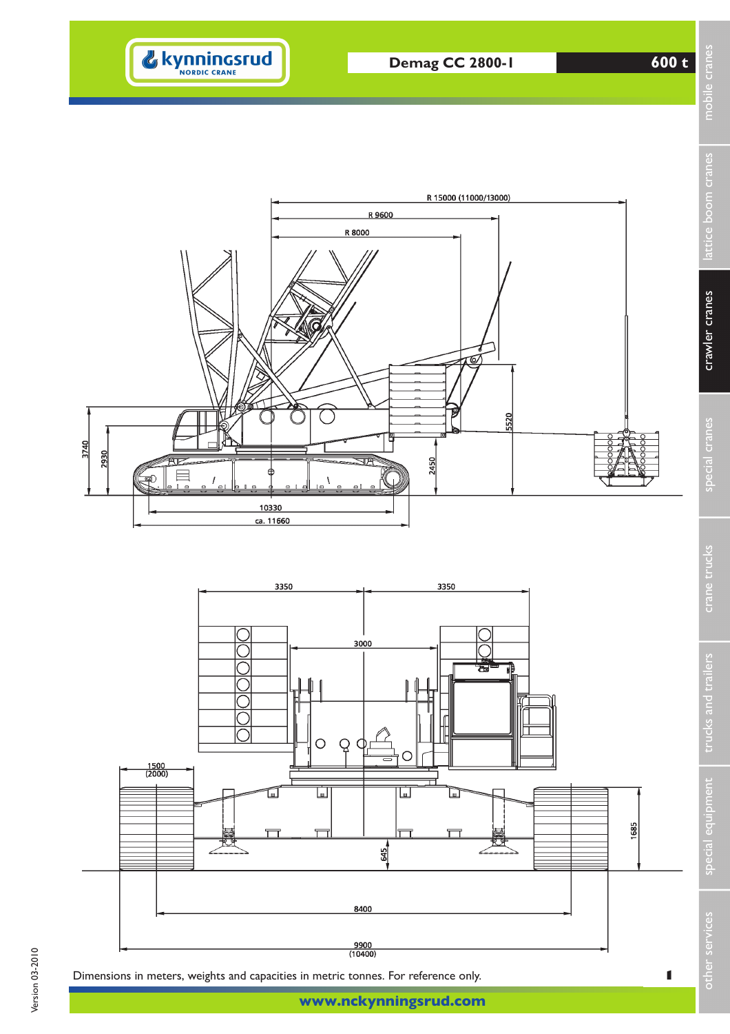







**www.nckynningsrud.com**

other services special equipment trucks and trailers crane trucks special cranes crawler cranes lattice boom cranes mobile cranes

crawler cranes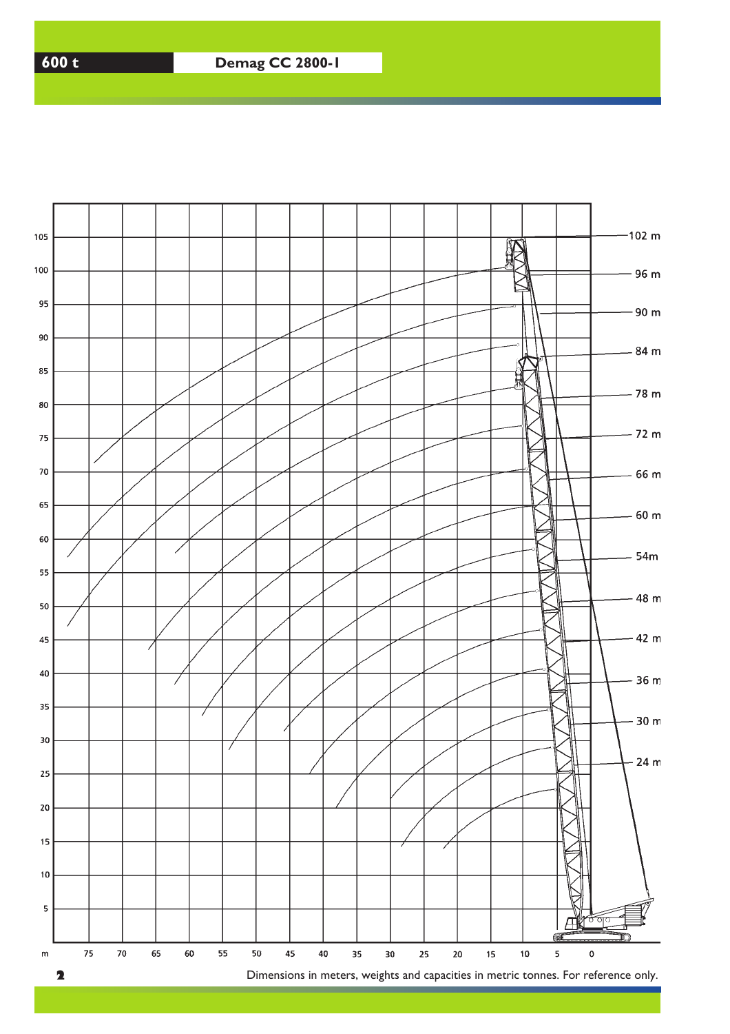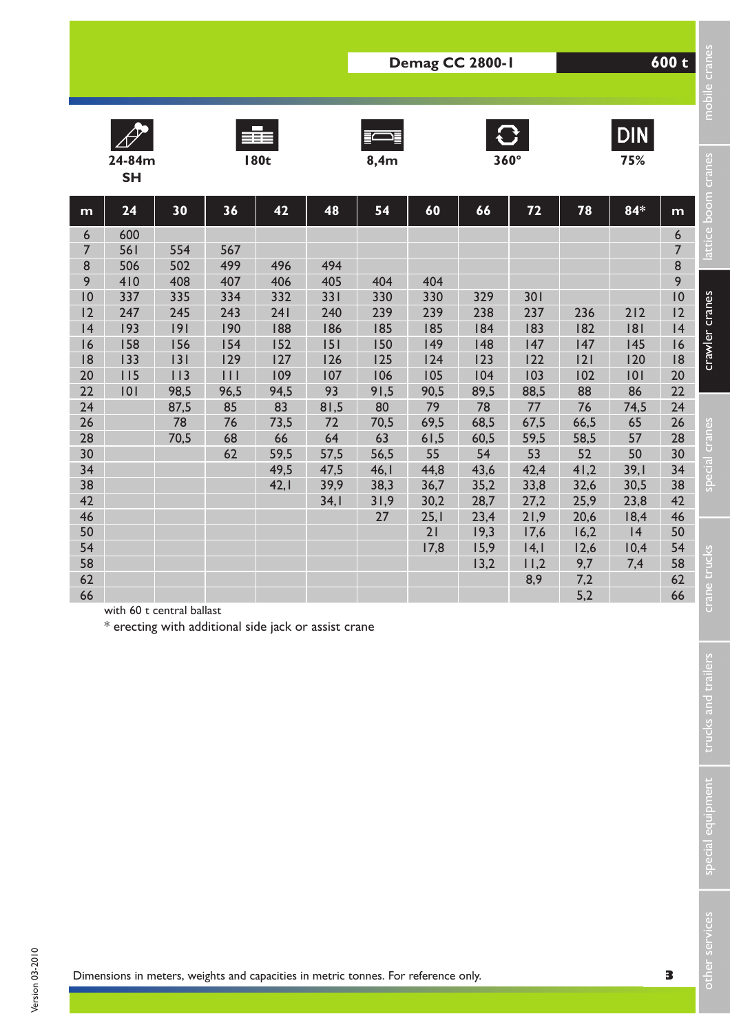|                                                                                                       | 24-84m<br><b>SH</b>                                                             |                                                                                         |                                                                                           | 丰田<br><b>180t</b>                                                                |                                                                                | 8,4m                                                                      |                                                                           | $\mathbf{C}$                                                       | $360^\circ$                                                               |                                                                                 | DIN<br>75%                                                    |                                                                                                                                         |
|-------------------------------------------------------------------------------------------------------|---------------------------------------------------------------------------------|-----------------------------------------------------------------------------------------|-------------------------------------------------------------------------------------------|----------------------------------------------------------------------------------|--------------------------------------------------------------------------------|---------------------------------------------------------------------------|---------------------------------------------------------------------------|--------------------------------------------------------------------|---------------------------------------------------------------------------|---------------------------------------------------------------------------------|---------------------------------------------------------------|-----------------------------------------------------------------------------------------------------------------------------------------|
| m<br>6<br>$\overline{7}$<br>8<br>9<br>$\overline{10}$<br>12<br> 4<br>16<br> 8<br>20<br>22<br>24<br>26 | 24<br>600<br>561<br>506<br>410<br>337<br>247<br>193<br>158<br>133<br>115<br>101 | 30<br>554<br>502<br>408<br>335<br>245<br> 9 <br>156<br> 3 <br>113<br>98,5<br>87,5<br>78 | 36<br>567<br>499<br>407<br>334<br>243<br>190<br>154<br>129<br>$  \  $<br>96,5<br>85<br>76 | 42<br>496<br>406<br>332<br>241<br>188<br>152<br>127<br>109<br>94,5<br>83<br>73,5 | 48<br>494<br>405<br>331<br>240<br>186<br>151<br>126<br>107<br>93<br>81,5<br>72 | 54<br>404<br>330<br>239<br>185<br>150<br>125<br>106<br>91,5<br>80<br>70,5 | 60<br>404<br>330<br>239<br>185<br>149<br>124<br>105<br>90,5<br>79<br>69,5 | 66<br>329<br>238<br>184<br>148<br>123<br>104<br>89,5<br>78<br>68,5 | 72<br>301<br>237<br>183<br>147<br>122<br>103<br>88,5<br>$77$<br>67,5      | 78<br>236<br>182<br>147<br> 2 <br>102<br>88<br>76<br>66,5                       | 84*<br>212<br> 8 <br>145<br>120<br> 0 <br>86<br>74,5<br>65    | m<br>$\boldsymbol{6}$<br>$\overline{7}$<br>$\bf 8$<br>$\overline{9}$<br>$\overline{10}$<br>12<br> 4<br>16<br> 8<br>20<br>22<br>24<br>26 |
| 28<br>30<br>34<br>38<br>42<br>46<br>50<br>54<br>58<br>62<br>66                                        |                                                                                 | 70,5                                                                                    | 68<br>62                                                                                  | 66<br>59,5<br>49,5<br>42,1                                                       | 64<br>57,5<br>47,5<br>39,9<br>34,1                                             | 63<br>56,5<br>46,1<br>38,3<br>31,9<br>27                                  | 61,5<br>55<br>44,8<br>36,7<br>30,2<br>25,1<br>21<br>17,8                  | 60,5<br>54<br>43,6<br>35,2<br>28,7<br>23,4<br>19,3<br>15,9<br>13,2 | 59,5<br>53<br>42,4<br>33,8<br>27,2<br>21,9<br>17,6<br> 4, <br>11,2<br>8,9 | 58,5<br>52<br>41,2<br>32,6<br>25,9<br>20,6<br>16,2<br>12,6<br>9,7<br>7,2<br>5,2 | 57<br>50<br>39,1<br>30,5<br>23,8<br>18,4<br> 4<br>10,4<br>7,4 | 28<br>30<br>34<br>38<br>42<br>46<br>50<br>54<br>58<br>62<br>66                                                                          |
|                                                                                                       |                                                                                 | with 60 t central ballast<br>* erecting with additional side jack or assist crane       |                                                                                           |                                                                                  |                                                                                |                                                                           |                                                                           |                                                                    |                                                                           |                                                                                 |                                                               |                                                                                                                                         |
|                                                                                                       |                                                                                 |                                                                                         |                                                                                           |                                                                                  |                                                                                |                                                                           |                                                                           |                                                                    |                                                                           |                                                                                 |                                                               |                                                                                                                                         |
|                                                                                                       |                                                                                 |                                                                                         |                                                                                           |                                                                                  |                                                                                |                                                                           |                                                                           |                                                                    |                                                                           |                                                                                 |                                                               |                                                                                                                                         |

Version 03-2010 Version 03-2010 special equipment trucks and trailers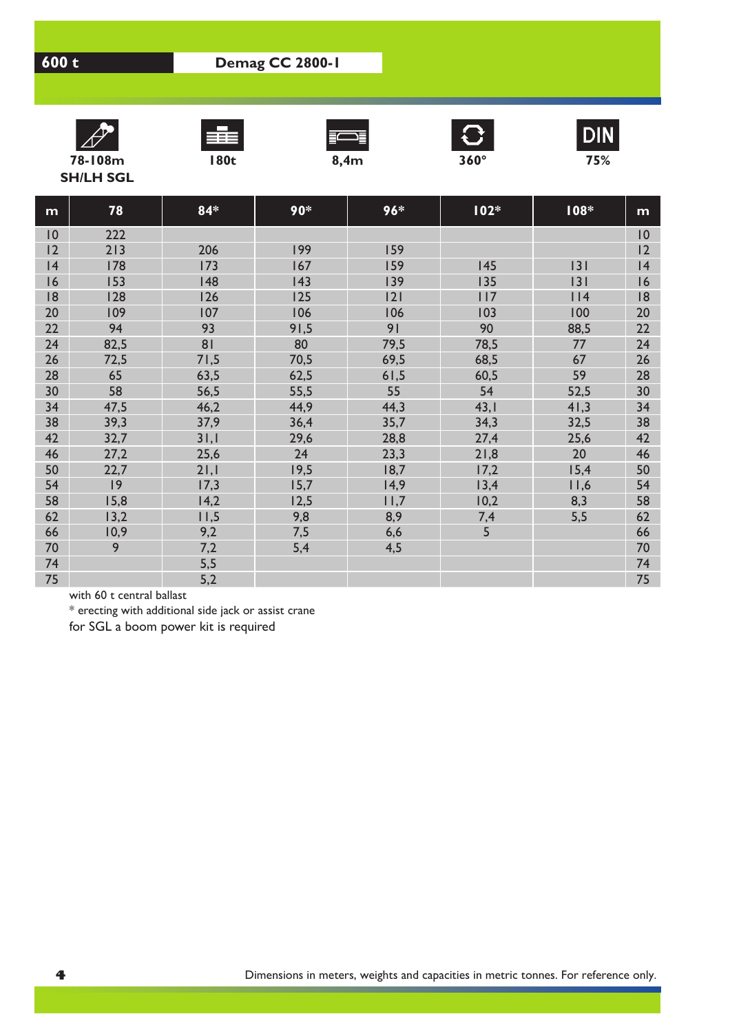









**SH/LH SGL**

| m           | 78   | $84*$ | 90*  | $96*$ | $102*$ | 108* | m           |
|-------------|------|-------|------|-------|--------|------|-------------|
| $ 0\rangle$ | 222  |       |      |       |        |      | $ 0\rangle$ |
| 12          | 213  | 206   | 199  | 159   |        |      | 12          |
| 4           | 178  | 173   | 167  | 159   | 145    | 3    | 4           |
| 16          | 153  | 148   | 143  | 139   | 135    | 3    | 16          |
| 8           | 128  | 126   | 125  | 2     | 117    | 114  | 18          |
| 20          | 109  | 107   | 106  | 106   | 103    | 100  | 20          |
| 22          | 94   | 93    | 91,5 | 91    | 90     | 88,5 | 22          |
| 24          | 82,5 | 81    | 80   | 79,5  | 78,5   | 77   | 24          |
| 26          | 72,5 | 71,5  | 70,5 | 69,5  | 68,5   | 67   | 26          |
| 28          | 65   | 63,5  | 62,5 | 61,5  | 60,5   | 59   | 28          |
| 30          | 58   | 56,5  | 55,5 | 55    | 54     | 52,5 | 30          |
| 34          | 47,5 | 46,2  | 44,9 | 44,3  | 43,1   | 41,3 | 34          |
| 38          | 39,3 | 37,9  | 36,4 | 35,7  | 34,3   | 32,5 | 38          |
| 42          | 32,7 | 31,1  | 29,6 | 28,8  | 27,4   | 25,6 | 42          |
| 46          | 27,2 | 25,6  | 24   | 23,3  | 21,8   | 20   | 46          |
| 50          | 22,7 | 21,1  | 19,5 | 18,7  | 17,2   | 15,4 | 50          |
| 54          | 9    | 17,3  | 15,7 | 14,9  | 13,4   | 11,6 | 54          |
| 58          | 15,8 | 14,2  | 12,5 | 11,7  | 10,2   | 8,3  | 58          |
| 62          | 13,2 | 11,5  | 9,8  | 8,9   | 7,4    | 5,5  | 62          |
| 66          | 10,9 | 9,2   | 7,5  | 6,6   | 5      |      | 66          |
| 70          | 9    | 7,2   | 5,4  | 4,5   |        |      | 70          |
| 74          |      | 5,5   |      |       |        |      | 74          |
| 75          |      | 5,2   |      |       |        |      | 75          |

with 60 t central ballast

\* erecting with additional side jack or assist crane

for SGL a boom power kit is required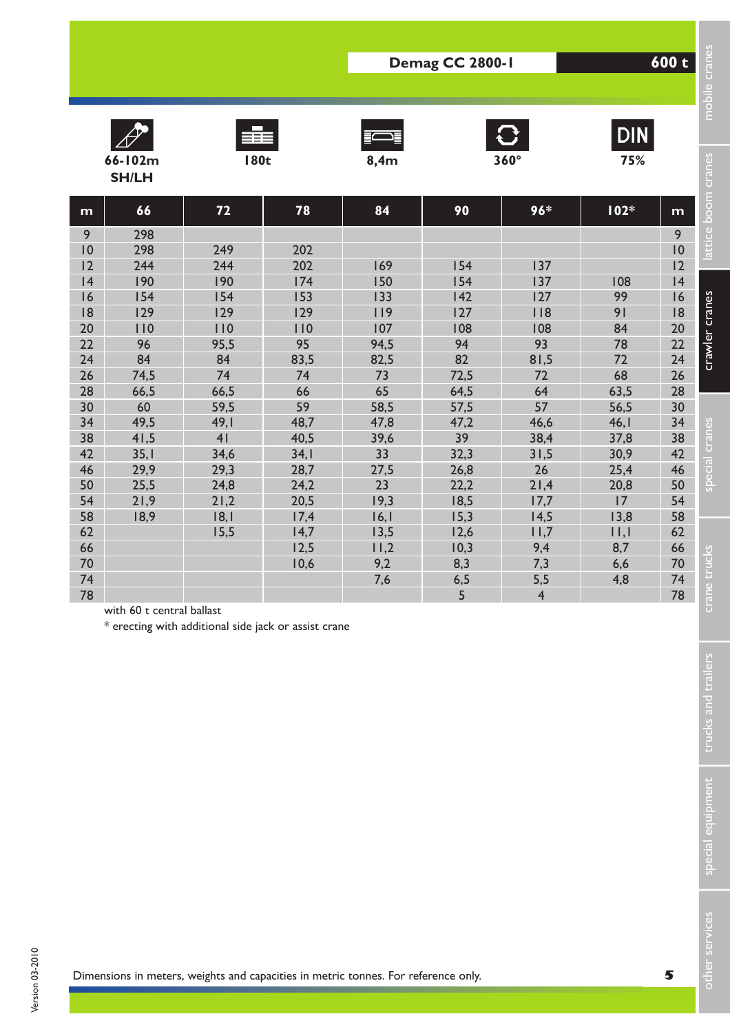|          | <b>SH/LH</b>              | <b>180t</b>                                          |              | 8,4m         |              |                | 75%                   |                       |
|----------|---------------------------|------------------------------------------------------|--------------|--------------|--------------|----------------|-----------------------|-----------------------|
| m        | 66                        | 72                                                   | 78           | 84           | 90           | $96*$          | $102*$                | m                     |
| 9        | 298                       |                                                      |              |              |              |                |                       | $\overline{9}$        |
| 0<br>12  | 298<br>244                | 249<br>244                                           | 202<br>202   |              | 154          |                |                       | $\overline{10}$<br>12 |
| 4        | 190                       | 190                                                  | 174          | 169<br>150   | 154          | 137<br>137     | 108                   | 4                     |
| 16       | 154                       | 154                                                  | 153          | 133          | 142          | 127            | 99                    | 16                    |
| 8        | 129                       | 129                                                  | 129          | 119          | 127          | 118            | 91                    | 8                     |
| 20       | 110                       | 110                                                  | 110          | 107          | 108          | 108            | 84                    | 20                    |
| 22       | 96                        | 95,5                                                 | 95           | 94,5         | 94           | 93             | 78                    | 22                    |
| 24       | 84                        | 84                                                   | 83,5         | 82,5         | 82           | 81,5           | 72                    | 24                    |
| 26       | 74,5                      | 74                                                   | 74           | 73           | 72,5         | 72             | 68                    | 26                    |
| 28<br>30 | 66,5<br>60                | 66,5<br>59,5                                         | 66<br>59     | 65<br>58,5   | 64,5<br>57,5 | 64<br>57       | 63,5<br>56,5          | 28<br>30              |
| 34       | 49,5                      | 49,1                                                 | 48,7         | 47,8         | 47,2         | 46,6           | 46,1                  | 34                    |
| 38       | 41,5                      | 4 <sub>l</sub>                                       | 40,5         | 39,6         | 39           | 38,4           | 37,8                  | 38                    |
| 42       | 35,1                      | 34,6                                                 | 34,1         | 33           | 32,3         | 31,5           | 30,9                  | 42                    |
| 46       | 29,9                      | 29,3                                                 | 28,7         | 27,5         | 26,8         | 26             | 25,4                  | 46                    |
| 50       | 25,5                      | 24,8                                                 | 24,2         | 23           | 22,2         | 21,4           | 20,8                  | 50                    |
| 54       | 21,9                      | 21,2                                                 | 20,5         | 19,3         | 18,5         | 17,7           | 17                    | 54                    |
| 58<br>62 | 18,9                      | 8, <br>15,5                                          | 17,4<br>14,7 | 16,1<br>13,5 | 15,3<br>12,6 | 14,5<br>11,7   | 13,8<br>$  \,   \,  $ | 58<br>62              |
| 66       |                           |                                                      | 12,5         | 11,2         | 10,3         | 9,4            | 8,7                   | 66                    |
| 70       |                           |                                                      | 10,6         | 9,2          | 8,3          | 7,3            | 6,6                   | 70                    |
| 74       |                           |                                                      |              | 7,6          | 6,5          | 5,5            | 4,8                   | 74                    |
| 78       |                           |                                                      |              |              | 5            | $\overline{4}$ |                       | 78                    |
|          | with 60 t central ballast | * erecting with additional side jack or assist crane |              |              |              |                |                       |                       |
|          |                           |                                                      |              |              |              |                |                       |                       |
|          |                           |                                                      |              |              |              |                |                       |                       |
|          |                           |                                                      |              |              |              |                |                       |                       |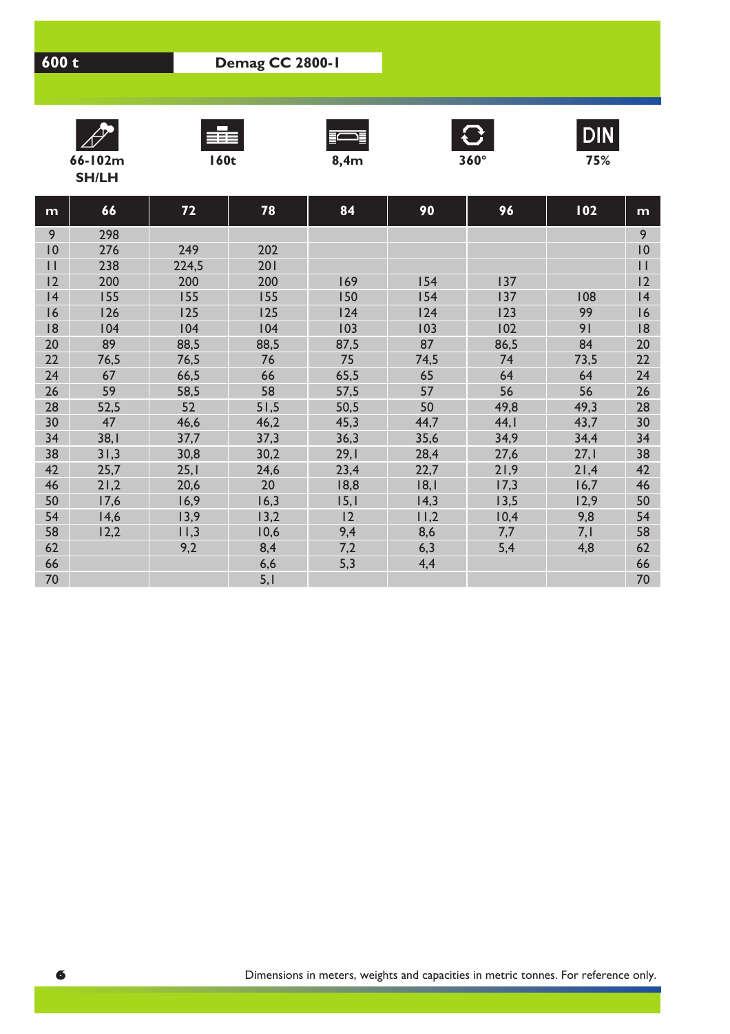









**SH/LH**

| m            | 66   | 72    | 78   | 84   | 90   | 96   | 102  | m            |
|--------------|------|-------|------|------|------|------|------|--------------|
| 9            | 298  |       |      |      |      |      |      | 9            |
| 0            | 276  | 249   | 202  |      |      |      |      | 10           |
| $\mathbf{H}$ | 238  | 224,5 | 201  |      |      |      |      | $\mathbf{H}$ |
| 2            | 200  | 200   | 200  | 169  | 154  | 137  |      | 12           |
| 4            | 155  | 155   | 155  | 150  | 154  | 137  | 108  | 4            |
| 16           | 126  | 125   | 125  | 124  | 124  | 123  | 99   | 16           |
| 8            | 104  | 104   | 104  | 103  | 103  | 102  | 91   | 18           |
| 20           | 89   | 88,5  | 88,5 | 87,5 | 87   | 86,5 | 84   | 20           |
| 22           | 76,5 | 76,5  | 76   | 75   | 74,5 | 74   | 73,5 | 22           |
| 24           | 67   | 66,5  | 66   | 65,5 | 65   | 64   | 64   | 24           |
| 26           | 59   | 58,5  | 58   | 57,5 | 57   | 56   | 56   | 26           |
| 28           | 52,5 | 52    | 51,5 | 50,5 | 50   | 49,8 | 49,3 | 28           |
| 30           | 47   | 46,6  | 46,2 | 45,3 | 44,7 | 44,1 | 43,7 | 30           |
| 34           | 38,1 | 37,7  | 37,3 | 36,3 | 35,6 | 34,9 | 34,4 | 34           |
| 38           | 31,3 | 30,8  | 30,2 | 29,1 | 28,4 | 27,6 | 27,1 | 38           |
| 42           | 25,7 | 25,1  | 24,6 | 23,4 | 22,7 | 21,9 | 21,4 | 42           |
| 46           | 21,2 | 20,6  | 20   | 18,8 | 8,   | 17,3 | 16,7 | 46           |
| 50           | 17,6 | 16,9  | 16,3 | 15,1 | 14,3 | 13,5 | 12,9 | 50           |
| 54           | 14,6 | 13,9  | 13,2 | 2    | 11,2 | 10,4 | 9,8  | 54           |
| 58           | 12,2 | 11,3  | 10,6 | 9,4  | 8,6  | 7,7  | 7,1  | 58           |
| 62           |      | 9,2   | 8,4  | 7,2  | 6,3  | 5,4  | 4,8  | 62           |
| 66           |      |       | 6,6  | 5,3  | 4,4  |      |      | 66           |
| 70           |      |       | 5,1  |      |      |      |      | 70           |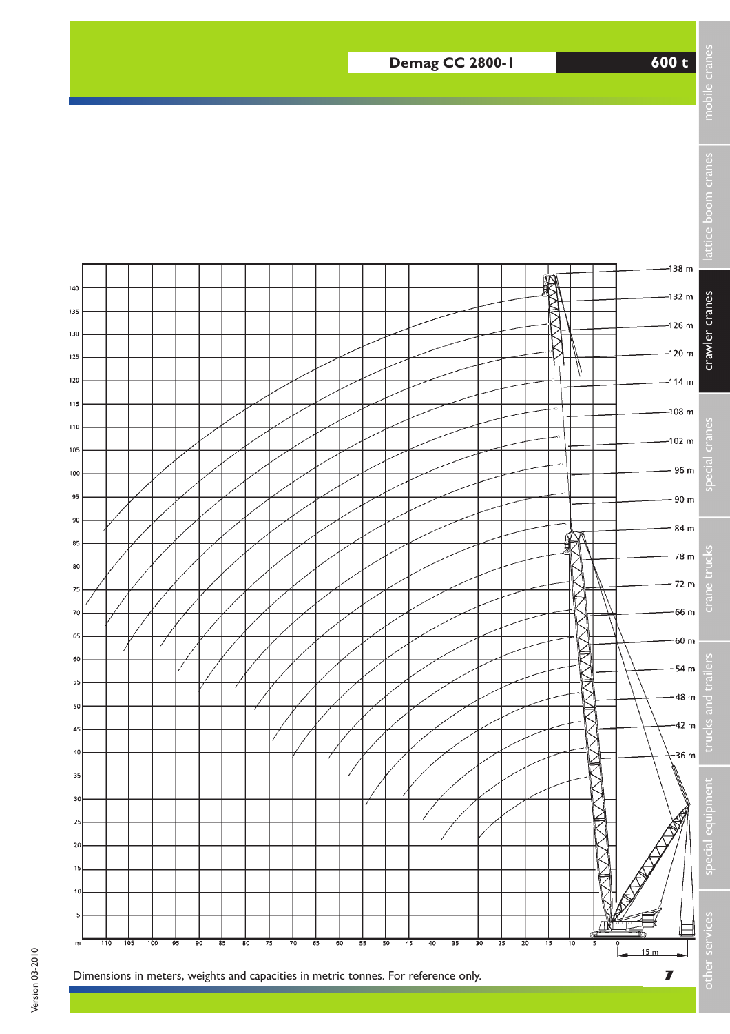## **Demag CC 2800-1 600 t**



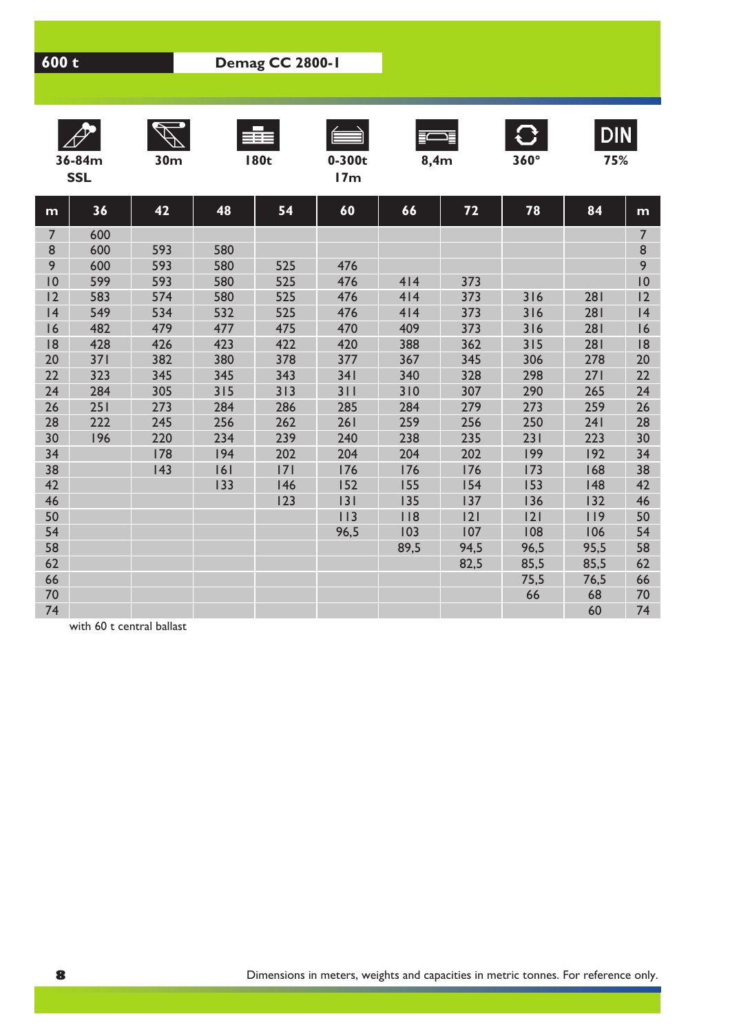| $\mathbb{Z}^2$ | $\mathscr{A}$ , | F a |          |      | <b>TAX</b>  | DIN |
|----------------|-----------------|-----|----------|------|-------------|-----|
| 36-84m         | 30m             | 80t | $0-300t$ | 8,4m | $360^\circ$ | 75% |











**DIN** 

| )-84m | sum | I 80C | U-SUU           |
|-------|-----|-------|-----------------|
| SSL   |     |       | 17 <sub>m</sub> |

| ß. |  |
|----|--|

| m              | 36  | 42  | 48  | 54  | 60   | 66   | 72   | 78   | 84   | m              |
|----------------|-----|-----|-----|-----|------|------|------|------|------|----------------|
| $\overline{7}$ | 600 |     |     |     |      |      |      |      |      | $\overline{7}$ |
| 8              | 600 | 593 | 580 |     |      |      |      |      |      | $\bf{8}$       |
| 9              | 600 | 593 | 580 | 525 | 476  |      |      |      |      | 9              |
| 10             | 599 | 593 | 580 | 525 | 476  | 414  | 373  |      |      | 10             |
| 2              | 583 | 574 | 580 | 525 | 476  | 414  | 373  | 316  | 281  | 12             |
| 4              | 549 | 534 | 532 | 525 | 476  | 414  | 373  | 316  | 281  | 4              |
| 16             | 482 | 479 | 477 | 475 | 470  | 409  | 373  | 316  | 281  | 16             |
| 8              | 428 | 426 | 423 | 422 | 420  | 388  | 362  | 315  | 281  | 8              |
| 20             | 371 | 382 | 380 | 378 | 377  | 367  | 345  | 306  | 278  | 20             |
| 22             | 323 | 345 | 345 | 343 | 341  | 340  | 328  | 298  | 271  | 22             |
| 24             | 284 | 305 | 315 | 313 | 311  | 310  | 307  | 290  | 265  | 24             |
| 26             | 251 | 273 | 284 | 286 | 285  | 284  | 279  | 273  | 259  | 26             |
| 28             | 222 | 245 | 256 | 262 | 261  | 259  | 256  | 250  | 241  | 28             |
| 30             | 196 | 220 | 234 | 239 | 240  | 238  | 235  | 231  | 223  | 30             |
| 34             |     | 178 | 194 | 202 | 204  | 204  | 202  | 199  | 192  | 34             |
| 38             |     | 143 | 6   | 7   | 176  | 176  | 176  | 173  | 168  | 38             |
| 42             |     |     | 133 | 146 | 152  | 155  | 154  | 153  | 148  | 42             |
| 46             |     |     |     | 123 | 3    | 135  | 137  | 136  | 132  | 46             |
| 50             |     |     |     |     | 113  | 118  | 2    | 2    | 119  | 50             |
| 54             |     |     |     |     | 96,5 | 103  | 107  | 108  | 106  | 54             |
| 58             |     |     |     |     |      | 89,5 | 94,5 | 96,5 | 95,5 | 58             |
| 62             |     |     |     |     |      |      | 82,5 | 85,5 | 85,5 | 62             |
| 66             |     |     |     |     |      |      |      | 75,5 | 76,5 | 66             |
| 70             |     |     |     |     |      |      |      | 66   | 68   | 70             |
| 74             |     |     |     |     |      |      |      |      | 60   | 74             |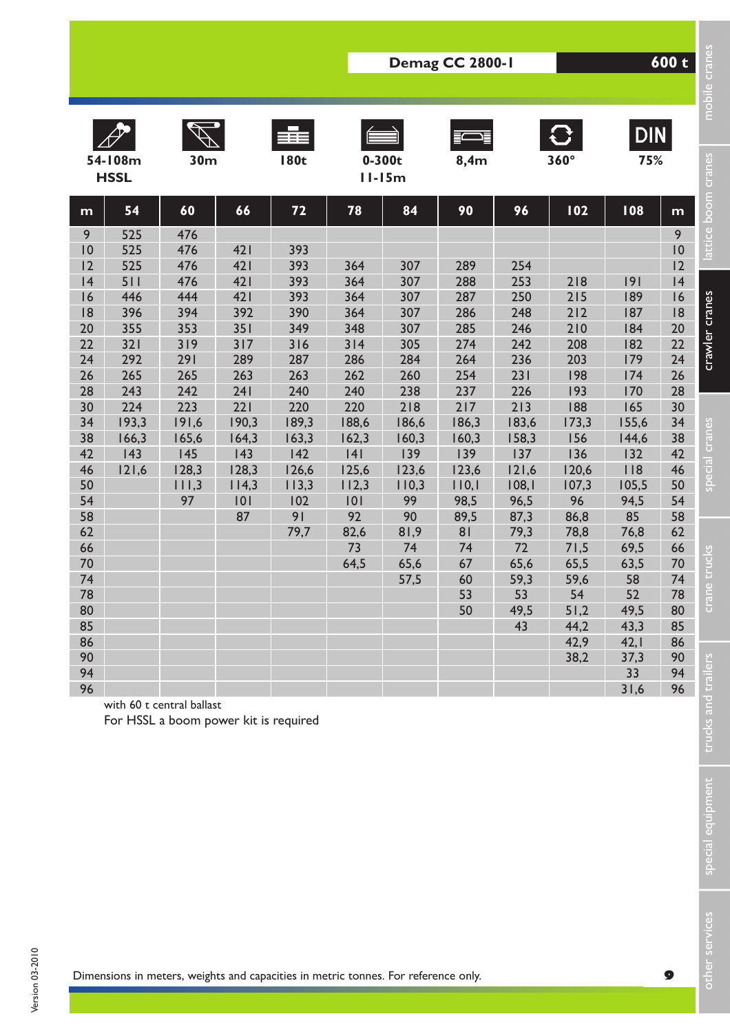|          |                        |                                                                                    |              |                    |              |                        | Demag CC 2800-1 |               |                             |                   | 600 t    | mobile cranes       |
|----------|------------------------|------------------------------------------------------------------------------------|--------------|--------------------|--------------|------------------------|-----------------|---------------|-----------------------------|-------------------|----------|---------------------|
|          | 54-108m<br><b>HSSL</b> | 30 <sub>m</sub>                                                                    |              | EEE<br><b>180t</b> |              | $0 - 300t$<br>$11-15m$ | 8,4m            |               | $\mathbf{C}$<br>$360^\circ$ | <b>DIN</b><br>75% |          | attice boom cranes  |
| m        | 54                     | 60                                                                                 | 66           | 72                 | 78           | 84                     | 90              | 96            | 102                         | 108               | m        |                     |
| 9        | 525                    | 476                                                                                |              |                    |              |                        |                 |               |                             |                   | 9        |                     |
| 0<br>12  | 525<br>525             | 476<br>476                                                                         | 421<br>421   | 393<br>393         | 364          | 307                    | 289             |               |                             |                   | 0<br>12  |                     |
| 4        | 511                    | 476                                                                                | 421          | 393                | 364          | 307                    | 288             | 254<br>253    | 218                         | 9                 | 4        |                     |
| 16       | 446                    | 444                                                                                | 421          | 393                | 364          | 307                    | 287             | 250           | 215                         | 189               | 16       |                     |
| 8        | 396                    | 394                                                                                | 392          | 390                | 364          | 307                    | 286             | 248           | 212                         | 187               | 8        | crawler cranes      |
| 20       | 355                    | 353                                                                                | 351          | 349                | 348          | 307                    | 285             | 246           | 210                         | 184               | 20       |                     |
| 22       | 321                    | 319                                                                                | 317          | 316                | 314          | 305                    | 274             | 242           | 208                         | 182               | 22       |                     |
| 24<br>26 | 292<br>265             | 291<br>265                                                                         | 289<br>263   | 287<br>263         | 286<br>262   | 284<br>260             | 264<br>254      | 236<br>231    | 203<br>198                  | 179<br>174        | 24<br>26 |                     |
| 28       | 243                    | 242                                                                                | 241          | 240                | 240          | 238                    | 237             | 226           | 193                         | 170               | 28       |                     |
| 30       | 224                    | 223                                                                                | 221          | 220                | 220          | 218                    | 217             | 213           | 188                         | 165               | 30       |                     |
| 34       | 193,3                  | 191,6                                                                              | 190,3        | 189,3              | 188,6        | 186,6                  | 186,3           | 183,6         | 173,3                       | 155,6             | 34       |                     |
| 38       | 166,3                  | 165,6                                                                              | 164,3        | 163,3              | 162,3        | 160,3                  | 160,3           | 158,3         | 156                         | 144,6             | 38       | special cranes      |
| 42       | 143                    | 145                                                                                | 43           | 142                | 4            | 139                    | 139             | 137           | 136                         | 132               | 42       |                     |
| 46<br>50 | 121,6                  | 128,3<br>111,3                                                                     | 128,3        | 126,6              | 125,6        | 123,6                  | 123,6           | 121,6         | 120,6                       | 118<br>105,5      | 46<br>50 |                     |
| 54       |                        | 97                                                                                 | 114,3<br>101 | 113,3<br>102       | 112,3<br>101 | 110,3<br>99            | 110,1<br>98,5   | 108,1<br>96,5 | 107,3<br>96                 | 94,5              | 54       |                     |
| 58       |                        |                                                                                    | 87           | 91                 | 92           | 90                     | 89,5            | 87,3          | 86,8                        | 85                | 58       |                     |
| 62       |                        |                                                                                    |              | 79,7               | 82,6         | 81,9                   | 81              | 79,3          | 78,8                        | 76,8              | 62       |                     |
| 66       |                        |                                                                                    |              |                    | 73           | 74                     | 74              | 72            | 71,5                        | 69,5              | 66       |                     |
| 70       |                        |                                                                                    |              |                    | 64,5         | 65,6                   | 67              | 65,6          | 65,5                        | 63,5              | 70       | trucks              |
| 74       |                        |                                                                                    |              |                    |              | 57,5                   | 60              | 59,3          | 59,6                        | 58                | 74       |                     |
| 78<br>80 |                        |                                                                                    |              |                    |              |                        | 53<br>50        | 53<br>49,5    | 54<br>51,2                  | 52<br>49,5        | 78<br>80 | <b>IRJO</b>         |
| 85       |                        |                                                                                    |              |                    |              |                        |                 | 43            | 44,2                        | 43,3              | 85       |                     |
| 86       |                        |                                                                                    |              |                    |              |                        |                 |               | 42,9                        | 42,1              | 86       |                     |
| 90       |                        |                                                                                    |              |                    |              |                        |                 |               | 38,2                        | 37,3              | 90       |                     |
| 94       |                        |                                                                                    |              |                    |              |                        |                 |               |                             | 33                | 94       |                     |
| 96       |                        | with 60 t central ballast<br>For HSSL a boom power kit is required                 |              |                    |              |                        |                 |               |                             | 31,6              | 96       | trucks and trailers |
|          |                        |                                                                                    |              |                    |              |                        |                 |               |                             |                   |          | special equipment   |
|          |                        | Dimensions in meters, weights and capacities in metric tonnes. For reference only. |              |                    |              |                        |                 |               |                             |                   | 9        | other services      |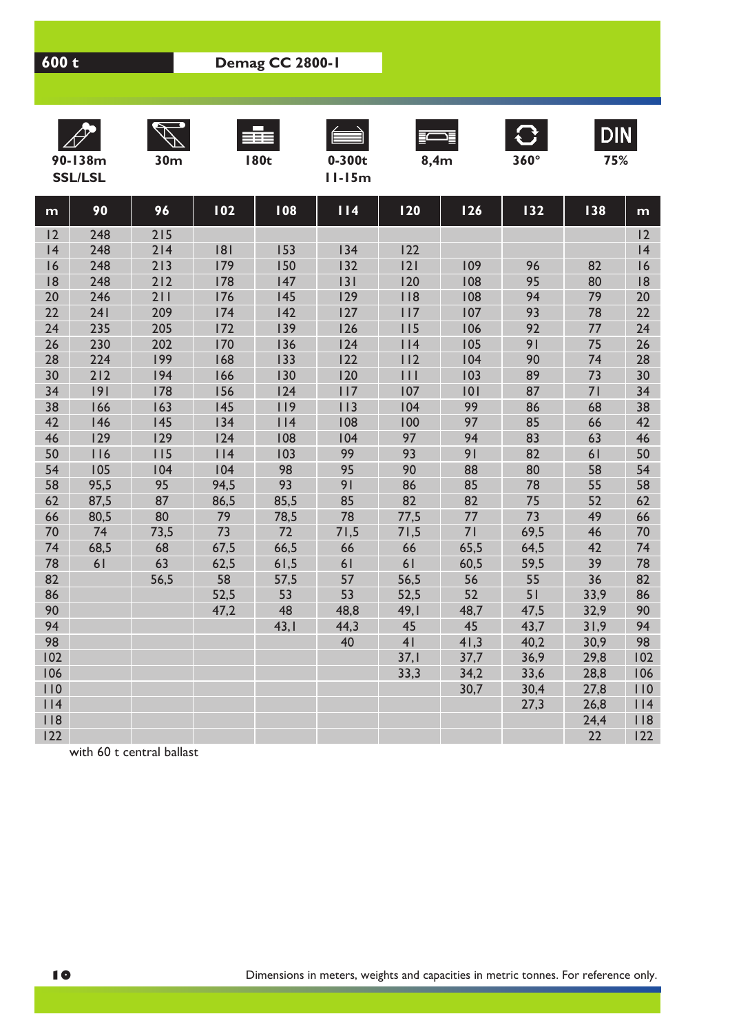| $\mathbb{Z}^2$ | $\mathscr{A}$ | ≡≡≡ |          |      | $\mathbf{\mathcal{L}}$ | DIN |
|----------------|---------------|-----|----------|------|------------------------|-----|
| 90-138m        | 30m           | 80t | $0-300t$ | 8.4m | $360^\circ$            | 75% |









**DIN** 

**SSL/LSL 11-15m**

|  |  | 0-300t |
|--|--|--------|
|  |  | l 5m   |

| ٠ |
|---|



|  |  | . . |
|--|--|-----|
|  |  |     |

| m   | 90   | 96   | 102  | 108  | 114  | 120              | <b>126</b> | 132  | 138  | m   |
|-----|------|------|------|------|------|------------------|------------|------|------|-----|
| 12  | 248  | 215  |      |      |      |                  |            |      |      | 12  |
| 4   | 248  | 214  | 8    | 153  | 134  | 122              |            |      |      | 4   |
| 16  | 248  | 213  | 179  | 150  | 132  | 2                | 109        | 96   | 82   | 16  |
| 18  | 248  | 212  | 178  | 147  | 131  | 120              | 108        | 95   | 80   | 18  |
| 20  | 246  | 211  | 176  | 145  | 129  | 118              | 108        | 94   | 79   | 20  |
| 22  | 241  | 209  | 174  | 142  | 127  | 117              | 107        | 93   | 78   | 22  |
| 24  | 235  | 205  | 172  | 139  | 126  | 115              | 106        | 92   | 77   | 24  |
| 26  | 230  | 202  | 170  | 136  | 124  | 114              | 105        | 91   | 75   | 26  |
| 28  | 224  | 199  | 168  | 133  | 122  | 112              | 104        | 90   | 74   | 28  |
| 30  | 212  | 194  | 166  | 130  | 120  | $\overline{111}$ | 103        | 89   | 73   | 30  |
| 34  | 9    | 178  | 156  | 124  | 117  | 107              | 101        | 87   | 71   | 34  |
| 38  | 166  | 163  | 145  | 119  | 113  | 104              | 99         | 86   | 68   | 38  |
| 42  | 146  | 145  | 134  | 114  | 108  | 100              | 97         | 85   | 66   | 42  |
| 46  | 129  | 129  | 124  | 108  | 104  | 97               | 94         | 83   | 63   | 46  |
| 50  | 116  | 115  | 114  | 103  | 99   | 93               | 91         | 82   | 61   | 50  |
| 54  | 105  | 104  | 104  | 98   | 95   | 90               | 88         | 80   | 58   | 54  |
| 58  | 95,5 | 95   | 94,5 | 93   | 91   | 86               | 85         | 78   | 55   | 58  |
| 62  | 87,5 | 87   | 86,5 | 85,5 | 85   | 82               | 82         | 75   | 52   | 62  |
| 66  | 80,5 | 80   | 79   | 78,5 | 78   | 77,5             | 77         | 73   | 49   | 66  |
| 70  | 74   | 73,5 | 73   | 72   | 71,5 | 71,5             | 71         | 69,5 | 46   | 70  |
| 74  | 68,5 | 68   | 67,5 | 66,5 | 66   | 66               | 65,5       | 64,5 | 42   | 74  |
| 78  | 61   | 63   | 62,5 | 61,5 | 61   | 61               | 60,5       | 59,5 | 39   | 78  |
| 82  |      | 56,5 | 58   | 57,5 | 57   | 56,5             | 56         | 55   | 36   | 82  |
| 86  |      |      | 52,5 | 53   | 53   | 52,5             | 52         | 51   | 33,9 | 86  |
| 90  |      |      | 47,2 | 48   | 48,8 | 49,1             | 48,7       | 47,5 | 32,9 | 90  |
| 94  |      |      |      | 43,1 | 44,3 | 45               | 45         | 43,7 | 31,9 | 94  |
| 98  |      |      |      |      | 40   | 4 <sub>l</sub>   | 41,3       | 40,2 | 30,9 | 98  |
| 102 |      |      |      |      |      | 37,1             | 37,7       | 36,9 | 29,8 | 102 |
| 106 |      |      |      |      |      | 33,3             | 34,2       | 33,6 | 28,8 | 106 |
| 110 |      |      |      |      |      |                  | 30,7       | 30,4 | 27,8 | 110 |
| 114 |      |      |      |      |      |                  |            | 27,3 | 26,8 | 114 |
| 118 |      |      |      |      |      |                  |            |      | 24,4 | 8   |
| 122 |      |      |      |      |      |                  |            |      | 22   | 122 |

with 60 t central ballast

Ī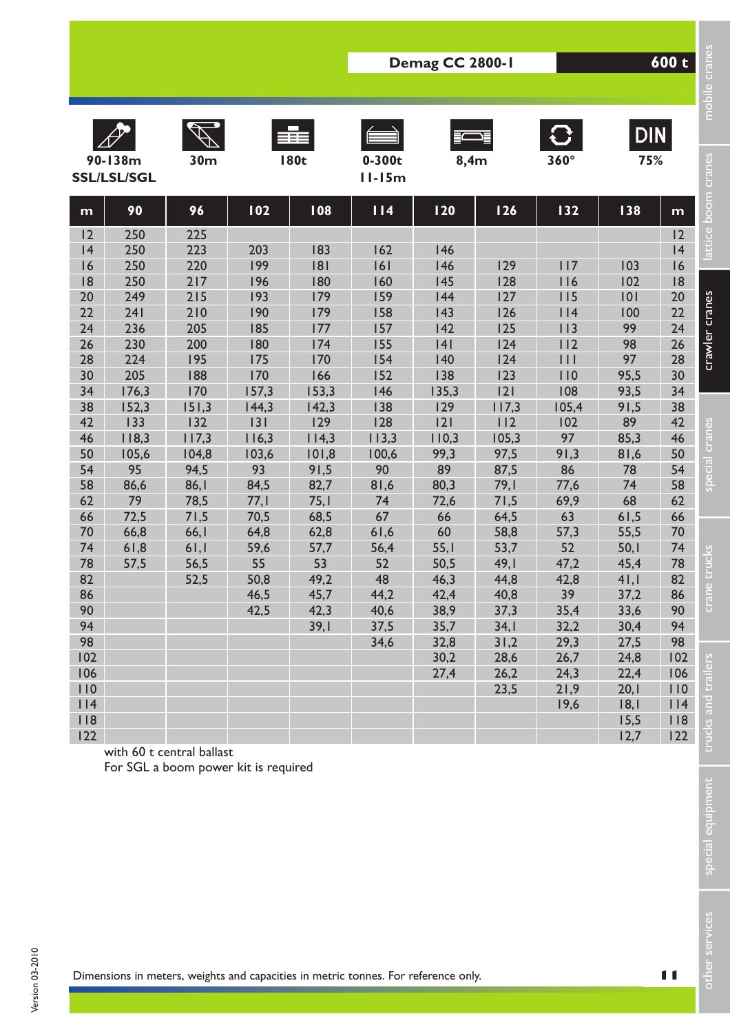|            |                               |                                      |              |              | Demag CC 2800-1                                                                    |              | 600 t        | mobile cranes |                   |                |                     |
|------------|-------------------------------|--------------------------------------|--------------|--------------|------------------------------------------------------------------------------------|--------------|--------------|---------------|-------------------|----------------|---------------------|
|            | 90-138m<br><b>SSL/LSL/SGL</b> | 30 <sub>m</sub>                      |              | <b>180t</b>  | $0-300t$<br>$11-15m$                                                               | 8,4m         |              | $360^\circ$   | <b>DIN</b><br>75% |                | lattice boom cranes |
| m          | 90                            | 96                                   | 102          | 108          | 114                                                                                | <b>120</b>   | 126          | 132           | 138               | m              |                     |
| 12         | 250                           | 225                                  |              |              |                                                                                    |              |              |               |                   | 12             |                     |
| 4          | 250                           | 223                                  | 203          | 183          | 162                                                                                | 146          |              |               |                   | 4              |                     |
| 16         | 250                           | 220                                  | 199          | 181          | 6                                                                                  | 146          | 129          | 117           | 103               | 16             |                     |
| 18<br>20   | 250<br>249                    | 217<br>215                           | 196<br>193   | 180<br>179   | 160<br>159                                                                         | 145<br>144   | 128<br>127   | 116<br>115    | 102<br>101        | 8<br>20        |                     |
| 22         | 241                           | 210                                  | 190          | 179          | 158                                                                                | 143          | 126          | 114           | 100               | 22             |                     |
| 24         | 236                           | 205                                  | 185          | 177          | 157                                                                                | 142          | 125          | 113           | 99                | 24             |                     |
| 26         | 230                           | 200                                  | 180          | 174          | 155                                                                                | 4            | 124          | 112           | 98                | 26             |                     |
| 28         | 224                           | 195                                  | 175          | 170          | 154                                                                                | 140          | 124          | $  \  $       | 97                | 28             | crawler cranes      |
| 30         | 205                           | 188                                  | 170          | 166          | 152                                                                                | 138          | 123          | 110           | 95,5              | 30             |                     |
| 34         | 176,3                         | 170                                  | 157,3        | 153,3        | 146                                                                                | 135,3        | 2            | 108           | 93,5              | 34             |                     |
| 38         | 152,3                         | 151,3                                | 144,3        | 142,3        | 138                                                                                | 129          | 117,3        | 105,4         | 91,5              | 38             |                     |
| 42         | 133                           | 132                                  | 3            | 129          | 128                                                                                | 2            | 112          | 102           | 89                | 42             | special cranes      |
| 46         | 118,3                         | 117,3                                | 116,3        | 114,3        | 113,3                                                                              | 110,3        | 105,3        | 97            | 85,3              | 46             |                     |
| 50         | 105,6                         | 104,8                                | 103,6        | 101,8        | 100,6                                                                              | 99,3         | 97,5         | 91,3          | 81,6              | 50             |                     |
| 54         | 95                            | 94,5                                 | 93           | 91,5         | 90                                                                                 | 89           | 87,5         | 86            | 78                | 54             |                     |
| 58<br>62   | 86,6<br>79                    | 86, I<br>78,5                        | 84,5<br>77,1 | 82,7<br>75,1 | 81,6<br>74                                                                         | 80,3<br>72,6 | 79,1<br>71,5 | 77,6<br>69,9  | 74<br>68          | 58<br>62       |                     |
| 66         | 72,5                          | 71,5                                 | 70,5         | 68,5         | 67                                                                                 | 66           | 64,5         | 63            | 61,5              | 66             |                     |
| 70         | 66,8                          | 66,1                                 | 64,8         | 62,8         | 61,6                                                                               | 60           | 58,8         | 57,3          | 55,5              | 70             |                     |
| 74         | 61,8                          | 61,1                                 | 59,6         | 57,7         | 56,4                                                                               | 55,1         | 53,7         | 52            | 50,1              | 74             |                     |
| 78         | 57,5                          | 56,5                                 | 55           | 53           | 52                                                                                 | 50,5         | 49,1         | 47,2          | 45,4              | 78             | trucks              |
| 82         |                               | 52,5                                 | 50,8         | 49,2         | 48                                                                                 | 46,3         | 44,8         | 42,8          | 41,1              | 82             |                     |
| 86         |                               |                                      | 46,5         | 45,7         | 44,2                                                                               | 42,4         | 40,8         | 39            | 37,2              | 86             | cran                |
| 90         |                               |                                      | 42,5         | 42,3         | 40,6                                                                               | 38,9         | 37,3         | 35,4          | 33,6              | 90             |                     |
| 94         |                               |                                      |              | 39,1         | 37,5                                                                               | 35,7         | 34,1         | 32,2          | 30,4              | 94             |                     |
| 98         |                               |                                      |              |              | 34,6                                                                               | 32,8         | 31,2         | 29,3          | 27,5              | 98             |                     |
| 102        |                               |                                      |              |              |                                                                                    | 30,2         | 28,6         | 26,7          | 24,8              | 102            |                     |
| 106        |                               |                                      |              |              |                                                                                    | 27,4         | 26,2         | 24,3          | 22,4              | 106            |                     |
| 110<br>114 |                               |                                      |              |              |                                                                                    |              | 23,5         | 21,9          | 20,1              | 110            |                     |
| 118        |                               |                                      |              |              |                                                                                    |              |              | 19,6          | 18,1<br>15,5      | 114<br>118     |                     |
| 122        |                               |                                      |              |              |                                                                                    |              |              |               | 12,7              | 122            |                     |
|            |                               | with 60 t central ballast            |              |              |                                                                                    |              |              |               |                   |                | trucks and trailers |
|            |                               | For SGL a boom power kit is required |              |              |                                                                                    |              |              |               |                   |                |                     |
|            |                               |                                      |              |              |                                                                                    |              |              |               |                   |                |                     |
|            |                               |                                      |              |              |                                                                                    |              |              |               |                   |                |                     |
|            |                               |                                      |              |              |                                                                                    |              |              |               |                   |                |                     |
|            |                               |                                      |              |              |                                                                                    |              |              |               |                   |                | special equipment   |
|            |                               |                                      |              |              |                                                                                    |              |              |               |                   |                |                     |
|            |                               |                                      |              |              |                                                                                    |              |              |               |                   |                |                     |
|            |                               |                                      |              |              |                                                                                    |              |              |               |                   |                |                     |
|            |                               |                                      |              |              |                                                                                    |              |              |               |                   |                |                     |
|            |                               |                                      |              |              |                                                                                    |              |              |               |                   |                |                     |
|            |                               |                                      |              |              |                                                                                    |              |              |               |                   |                |                     |
|            |                               |                                      |              |              |                                                                                    |              |              |               |                   |                | other services      |
|            |                               |                                      |              |              |                                                                                    |              |              |               |                   |                |                     |
|            |                               |                                      |              |              | Dimensions in meters, weights and capacities in metric tonnes. For reference only. |              |              |               |                   | $\blacksquare$ |                     |

special equipment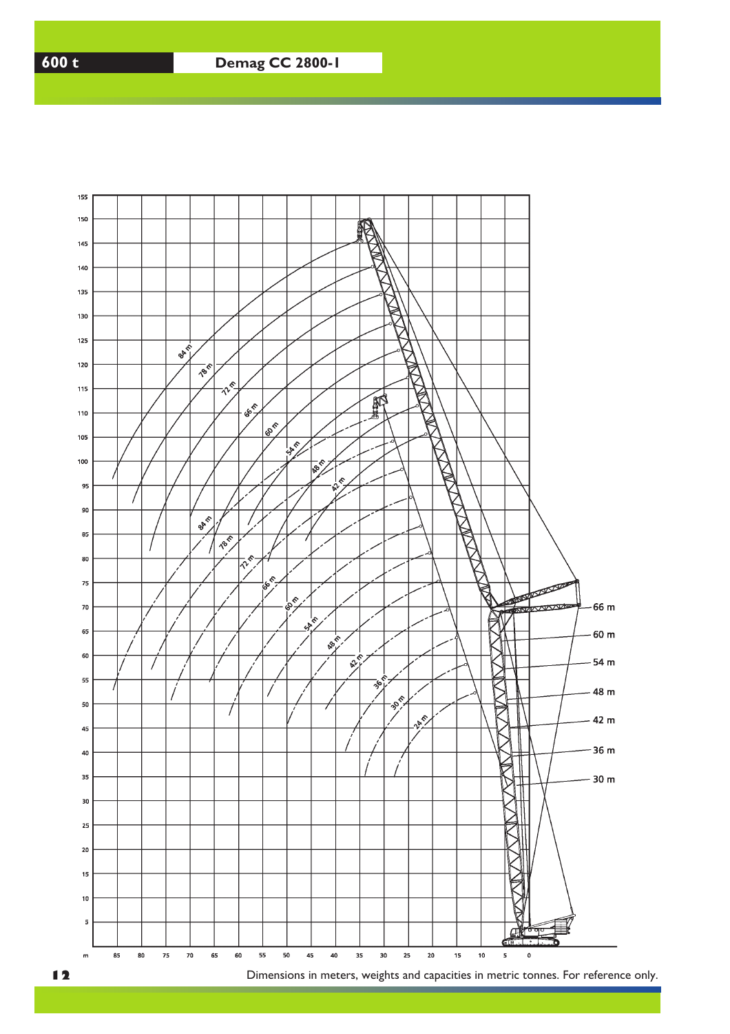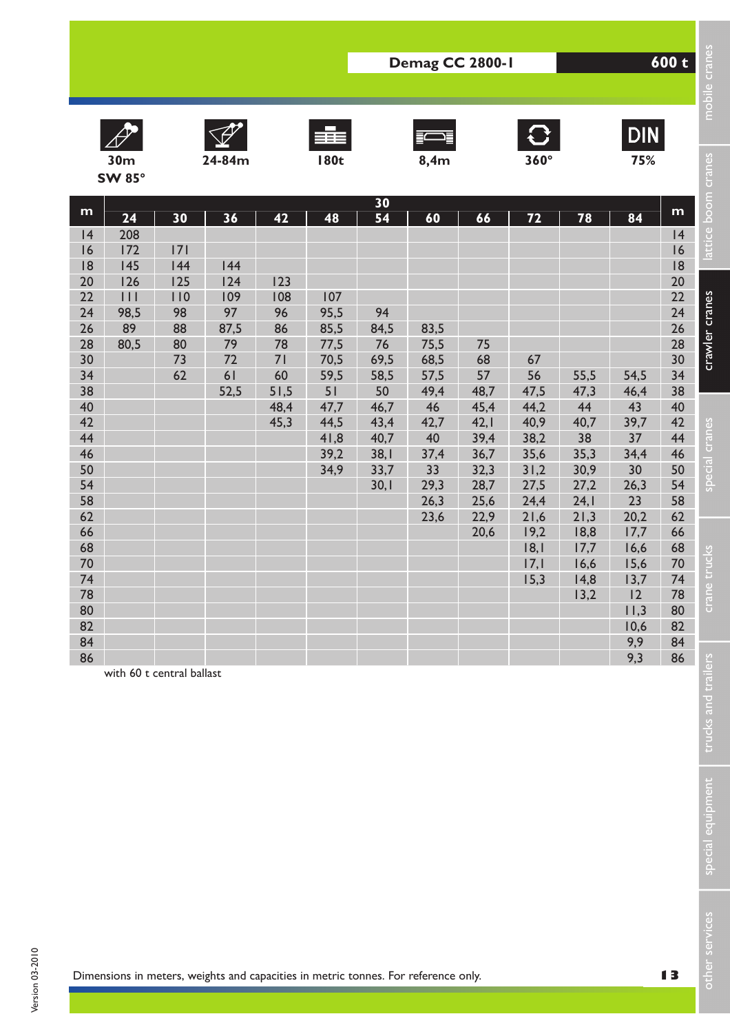











|                                                                                                                                                                           |                                                                                              |                                                              |                                                                                    |                                                                        |                                                                                                 |                                                                                                    | Demag CC 2800-1                                                                                      |                                                                                                      |                                                                                                                        |                                                                                                                        |                                                                                                                                                | 600 t                                                                                                                                                                     |                                                                                               |
|---------------------------------------------------------------------------------------------------------------------------------------------------------------------------|----------------------------------------------------------------------------------------------|--------------------------------------------------------------|------------------------------------------------------------------------------------|------------------------------------------------------------------------|-------------------------------------------------------------------------------------------------|----------------------------------------------------------------------------------------------------|------------------------------------------------------------------------------------------------------|------------------------------------------------------------------------------------------------------|------------------------------------------------------------------------------------------------------------------------|------------------------------------------------------------------------------------------------------------------------|------------------------------------------------------------------------------------------------------------------------------------------------|---------------------------------------------------------------------------------------------------------------------------------------------------------------------------|-----------------------------------------------------------------------------------------------|
|                                                                                                                                                                           | 30 <sub>m</sub>                                                                              |                                                              | 24-84m                                                                             |                                                                        | 辈<br><b>180t</b>                                                                                |                                                                                                    | 8,4m                                                                                                 |                                                                                                      | $\mathbf{C}$<br>$360^\circ$                                                                                            |                                                                                                                        | <b>DIN</b><br>75%                                                                                                                              |                                                                                                                                                                           | mobile cran                                                                                   |
|                                                                                                                                                                           | <b>SW 85°</b>                                                                                |                                                              |                                                                                    |                                                                        |                                                                                                 |                                                                                                    |                                                                                                      |                                                                                                      |                                                                                                                        |                                                                                                                        |                                                                                                                                                |                                                                                                                                                                           |                                                                                               |
| m<br> 4<br>16<br> 8<br>20<br>22<br>24<br>26<br>28<br>30<br>34<br>38<br>40<br>42<br>44<br>46<br>50<br>54<br>58<br>62<br>66<br>68<br>70<br>74<br>78<br>80<br>82<br>84<br>86 | 24<br>208<br>172<br>145<br>126<br>$  \  $<br>98,5<br>89<br>80,5<br>with 60 t central ballast | 30<br> 7 <br>144<br>125<br>110<br>98<br>88<br>80<br>73<br>62 | 36<br> 44<br>124<br>109<br>97<br>87,5<br>79<br>72<br>61<br>52,5                    | 42<br>123<br>108<br>96<br>86<br>78<br>71<br>60<br>51,5<br>48,4<br>45,3 | 48<br>107<br>95,5<br>85,5<br>77,5<br>70,5<br>59,5<br>51<br>47,7<br>44,5<br>41,8<br>39,2<br>34,9 | 30<br>54<br>94<br>84,5<br>76<br>69,5<br>58,5<br>50<br>46,7<br>43,4<br>40,7<br>38,1<br>33,7<br>30,1 | 60<br>83,5<br>75,5<br>68,5<br>57,5<br>49,4<br>46<br>42,7<br>40<br>37,4<br>33<br>29,3<br>26,3<br>23,6 | 66<br>75<br>68<br>57<br>48,7<br>45,4<br>42,1<br>39,4<br>36,7<br>32,3<br>28,7<br>25,6<br>22,9<br>20,6 | 72<br>67<br>56<br>47,5<br>44,2<br>40,9<br>38,2<br>35,6<br>31,2<br>27,5<br>24,4<br>21,6<br>19,2<br> 8, <br>17,1<br>15,3 | 78<br>55,5<br>47,3<br>44<br>40,7<br>38<br>35,3<br>30,9<br>27,2<br>24,1<br>21,3<br>18,8<br>17,7<br>16,6<br>14,8<br>13,2 | 84<br>54,5<br>46,4<br>43<br>39,7<br>37<br>34,4<br>30<br>26,3<br>23<br>20,2<br>17,7<br>16,6<br>15,6<br>13,7<br>12<br>11,3<br>10,6<br>9,9<br>9,3 | m<br> 4<br>16<br> 8<br>20<br>22<br>24<br>26<br>28<br>30<br>34<br>38<br>40<br>42<br>44<br>46<br>50<br>54<br>58<br>62<br>66<br>68<br>70<br>74<br>78<br>80<br>82<br>84<br>86 | attice boom cranes<br>crawler cranes<br>special cranes<br>crane trucks<br>trucks and trailers |
|                                                                                                                                                                           |                                                                                              |                                                              |                                                                                    |                                                                        |                                                                                                 |                                                                                                    |                                                                                                      |                                                                                                      |                                                                                                                        |                                                                                                                        |                                                                                                                                                |                                                                                                                                                                           | special equipment                                                                             |
|                                                                                                                                                                           |                                                                                              |                                                              | Dimensions in meters, weights and capacities in metric tonnes. For reference only. |                                                                        |                                                                                                 |                                                                                                    |                                                                                                      |                                                                                                      |                                                                                                                        |                                                                                                                        |                                                                                                                                                | 13                                                                                                                                                                        | other services                                                                                |

**13**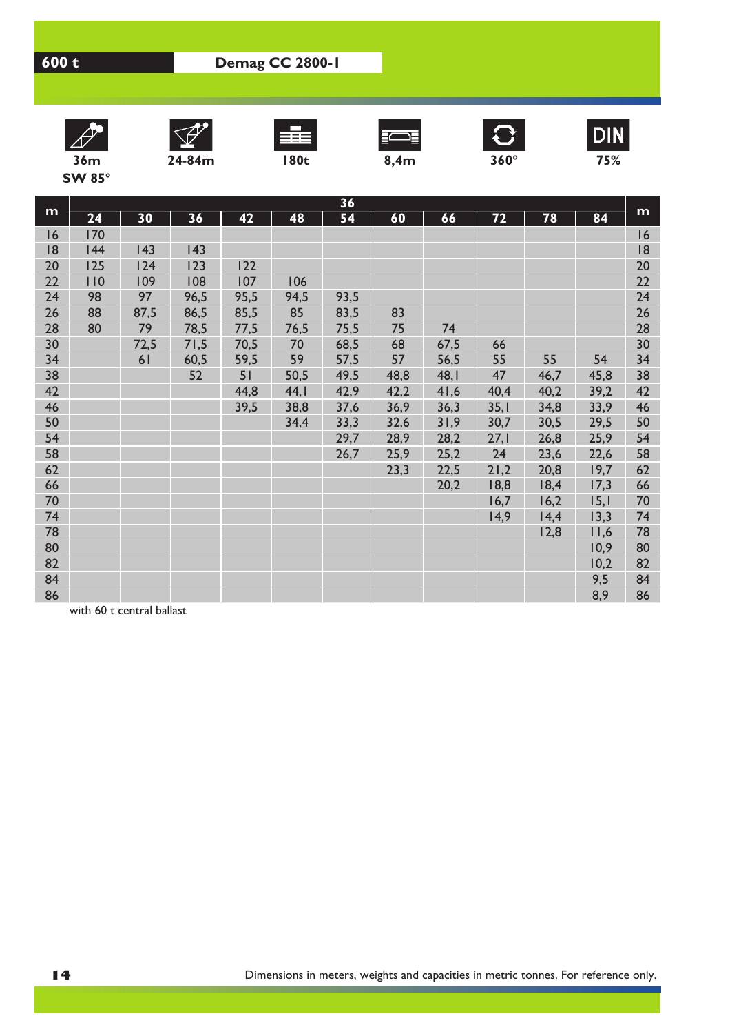













**DIN** 

**SW 85°**

**m 36** 24 | 30 | 36 | 42 | 48 | 54 | 60 | 66 | 72 | 78 | 84 <sup>| m</sup> 16 170 16 18 144 143 143 18 20 125 124 123 122 20 22 110 109 108 107 106 22 24 98 97 96,5 95,5 94,5 93,5 24 26 88 87,5 86,5 85,5 85 83,5 83 26 28 80 79 78,5 77,5 76,5 75,5 75 74 28 30 72,5 71,5 70,5 70 68,5 68 67,5 66 30 34 61 60,5 59,5 59 57,5 57 56,5 55 55 54 34 38 52 51 50,5 49,5 48,8 48,1 47 46,7 45,8 38 42 44,8 44,1 42,9 42,2 41,6 40,4 40,2 39,2 42 46 39,5 38,8 37,6 36,9 36,3 35,1 34,8 33,9 46 50 34,4 33,3 32,6 31,9 30,7 30,5 29,5 50 54 29,7 28,9 28,2 27,1 26,8 25,9 54 58 26,7 25,9 25,2 24 23,6 22,6 58 62 23,3 22,5 21,2 20,8 19,7 62 66 20,2 18,8 18,4 17,3 66 70 16,7 16,2 15,1 70 74 14,9 14,4 13,3 74 78 12,8 11,6 78 80 | <mark>10,9 80 | 10,9 80 | 10,9 80 | 10,9 80 | 10,9 80</mark> | 10,9 | 10,9 | 10,9 | 10,9 | 10,9 | 10,9 | 10,9 | 10,9 | 10 82 **10,2 82** 84 9,5 84 86 8,9 86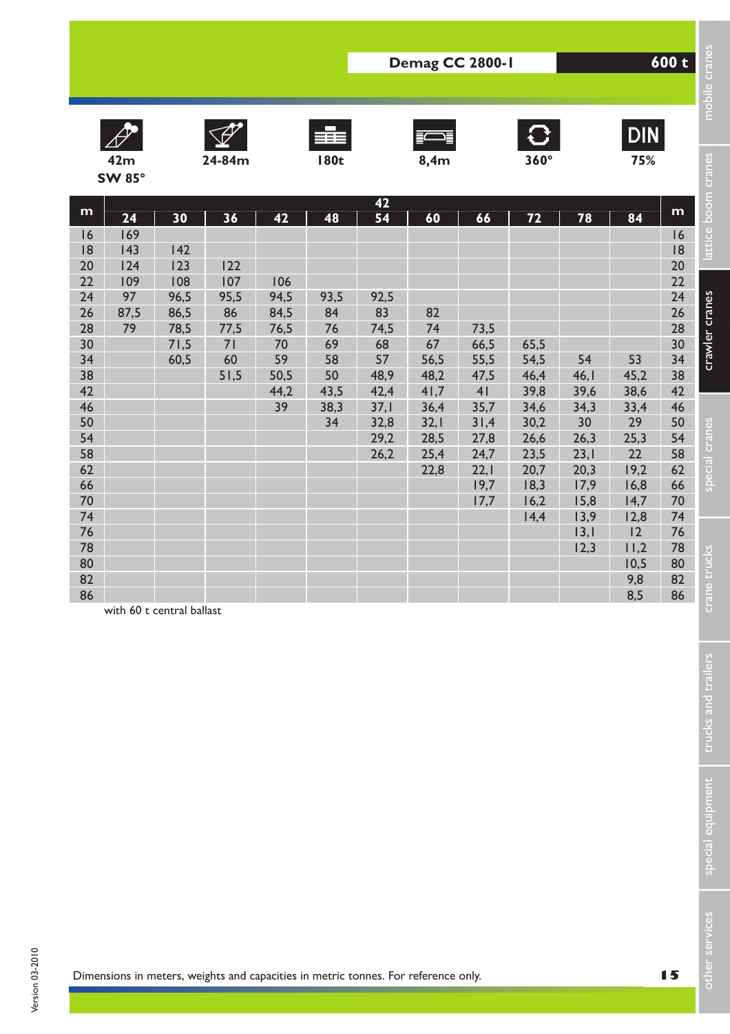











**DIN** 

|          |                           |              |                                                                                    |              |              |              | Demag CC 2800-1 |              |                 |                 |              | 600 t    |                     |
|----------|---------------------------|--------------|------------------------------------------------------------------------------------|--------------|--------------|--------------|-----------------|--------------|-----------------|-----------------|--------------|----------|---------------------|
|          |                           |              |                                                                                    |              |              |              |                 |              |                 |                 |              |          | mobile cran         |
|          |                           |              |                                                                                    |              | ≣≣≣          |              |                 |              | $\mathbf{C}$    |                 | DIN          |          |                     |
|          | 42m                       |              | 24-84m                                                                             |              | <b>180t</b>  |              | 8,4m            |              | $360^\circ$     |                 | 75%          |          |                     |
|          | <b>SW 85°</b>             |              |                                                                                    |              |              |              |                 |              |                 |                 |              |          | attice boom cranes  |
|          |                           |              |                                                                                    |              |              | 42           |                 |              |                 |                 |              |          |                     |
| m        | 24                        | 30           | 36                                                                                 | 42           | 48           | 54           | 60              | 66           | $\overline{72}$ | $\overline{78}$ | 84           | m        |                     |
| 6<br> 8  | 169<br>143                | 142          |                                                                                    |              |              |              |                 |              |                 |                 |              | 16<br> 8 |                     |
| 20       | 124                       | 123          | 122                                                                                |              |              |              |                 |              |                 |                 |              | 20       |                     |
| 22       | 109                       | 108          | 107                                                                                | 106          |              |              |                 |              |                 |                 |              | 22       |                     |
| 24       | 97                        | 96,5         | 95,5                                                                               | 94,5         | 93,5         | 92,5         |                 |              |                 |                 |              | 24       | crawler cranes      |
| 26<br>28 | 87,5<br>79                | 86,5<br>78,5 | 86<br>77,5                                                                         | 84,5<br>76,5 | 84<br>76     | 83<br>74,5   | 82<br>74        | 73,5         |                 |                 |              | 26<br>28 |                     |
| 30       |                           | 71,5         | 71                                                                                 | 70           | 69           | 68           | 67              | 66,5         | 65,5            |                 |              | 30       |                     |
| 34       |                           | 60,5         | 60                                                                                 | 59           | 58           | 57           | 56,5            | 55,5         | 54,5            | 54              | 53           | 34       |                     |
| 38       |                           |              | 51,5                                                                               | 50,5         | 50           | 48,9         | 48,2            | 47,5         | 46,4            | 46,1            | 45,2         | 38       |                     |
| 42<br>46 |                           |              |                                                                                    | 44,2<br>39   | 43,5<br>38,3 | 42,4<br>37,1 | 41,7<br>36,4    | 41<br>35,7   | 39,8<br>34,6    | 39,6<br>34,3    | 38,6<br>33,4 | 42<br>46 |                     |
| 50       |                           |              |                                                                                    |              | 34           | 32,8         | 32,1            | 31,4         | 30,2            | 30              | 29           | 50       |                     |
| 54       |                           |              |                                                                                    |              |              | 29,2         | 28,5            | 27,8         | 26,6            | 26,3            | 25,3         | 54       |                     |
| 58       |                           |              |                                                                                    |              |              | 26,2         | 25,4            | 24,7         | 23,5            | 23,1            | 22           | 58       | special cranes      |
| 62<br>66 |                           |              |                                                                                    |              |              |              | 22,8            | 22,1<br>19,7 | 20,7<br>18,3    | 20,3<br>17,9    | 19,2<br>16,8 | 62<br>66 |                     |
| 70       |                           |              |                                                                                    |              |              |              |                 | 17,7         | 16,2            | 15,8            | 14,7         | 70       |                     |
| 74       |                           |              |                                                                                    |              |              |              |                 |              | 14,4            | 13,9            | 12,8         | 74       |                     |
| 76       |                           |              |                                                                                    |              |              |              |                 |              |                 | 3,              | 12           | 76       |                     |
| 78<br>80 |                           |              |                                                                                    |              |              |              |                 |              |                 | 12,3            | 11,2<br>10,5 | 78<br>80 |                     |
| 82       |                           |              |                                                                                    |              |              |              |                 |              |                 |                 | 9,8          | 82       | ine trucks          |
| 86       |                           |              |                                                                                    |              |              |              |                 |              |                 |                 | 8.5          | 86       |                     |
|          | with 60 t central ballast |              |                                                                                    |              |              |              |                 |              |                 |                 |              |          | ະະ                  |
|          |                           |              |                                                                                    |              |              |              |                 |              |                 |                 |              |          |                     |
|          |                           |              |                                                                                    |              |              |              |                 |              |                 |                 |              |          |                     |
|          |                           |              |                                                                                    |              |              |              |                 |              |                 |                 |              |          |                     |
|          |                           |              |                                                                                    |              |              |              |                 |              |                 |                 |              |          |                     |
|          |                           |              |                                                                                    |              |              |              |                 |              |                 |                 |              |          |                     |
|          |                           |              |                                                                                    |              |              |              |                 |              |                 |                 |              |          | trucks and trailers |
|          |                           |              |                                                                                    |              |              |              |                 |              |                 |                 |              |          |                     |
|          |                           |              |                                                                                    |              |              |              |                 |              |                 |                 |              |          |                     |
|          |                           |              |                                                                                    |              |              |              |                 |              |                 |                 |              |          |                     |
|          |                           |              |                                                                                    |              |              |              |                 |              |                 |                 |              |          |                     |
|          |                           |              |                                                                                    |              |              |              |                 |              |                 |                 |              |          |                     |
|          |                           |              |                                                                                    |              |              |              |                 |              |                 |                 |              |          |                     |
|          |                           |              |                                                                                    |              |              |              |                 |              |                 |                 |              |          | special equipment   |
|          |                           |              |                                                                                    |              |              |              |                 |              |                 |                 |              |          |                     |
|          |                           |              |                                                                                    |              |              |              |                 |              |                 |                 |              |          |                     |
|          |                           |              |                                                                                    |              |              |              |                 |              |                 |                 |              |          |                     |
|          |                           |              |                                                                                    |              |              |              |                 |              |                 |                 |              |          | services            |
|          |                           |              |                                                                                    |              |              |              |                 |              |                 |                 |              |          | ă                   |
|          |                           |              | Dimensions in meters, weights and capacities in metric tonnes. For reference only. |              |              |              |                 |              |                 |                 |              | 15       |                     |

Version 03-2010

Version 03-2010

special equipment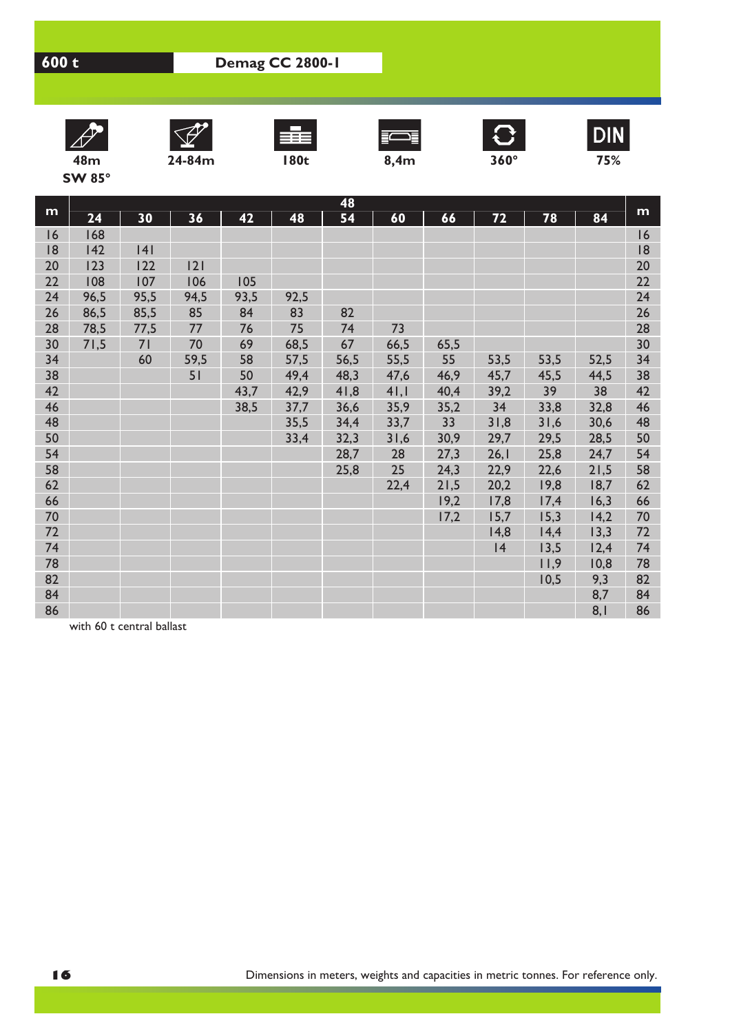













**DIN** 

**SW 85°**

**m 48** 24 | 30 | 36 | 42 | 48 | 54 | 60 | 66 | 72 | 78 | 84 <sup>| m</sup> 16 168 16 18 142 141 18 20 123 122 121 20 22 108 107 106 105 22 24 96,5 95,5 94,5 93,5 92,5 24 26 86,5 85,5 85 84 83 82 26 28 78,5 77,5 77 76 75 74 73 28 30 71,5 71 70 69 68,5 67 66,5 65,5 30 34 60 59,5 58 57,5 56,5 55,5 55 53,5 53,5 52,5 34 38 51 50 49,4 48,3 47,6 46,9 45,7 45,5 44,5 38 42 43,7 42,9 41,8 41,1 40,4 39,2 39 38 42 46 38,5 37,7 36,6 35,9 35,2 34 33,8 32,8 46 48 35,5 34,4 33,7 33 31,8 31,6 30,6 48 50 33,4 32,3 31,6 30,9 29,7 29,5 28,5 50 54 28,7 28 27,3 26,1 25,8 24,7 54 58 25,8 25 24,3 22,9 22,6 21,5 58 62 22,4 21,5 20,2 19,8 18,7 62 66 19,2 17,8 17,4 16,3 66 70 17,2 15,7 15,3 14,2 70 72 14,8 14,4 13,3 72 74 14 13,5 12,4 74 78 11,9 10,8 78 82 **10,5 9,3 82** 84 | **84 | 1990 | 1990 | 1990 | 1990 | 1990 | 1990 | 1990 | 1990 | 1990 | 1990 | 1990 | 1990 | 1990 | 1990 | 1** 86 | **Andrej Andrej Andrej Andrej Andrej Andrej Andrej Andrej Andrej Andrej Andrej Andrej Andrej Andrej Andrej**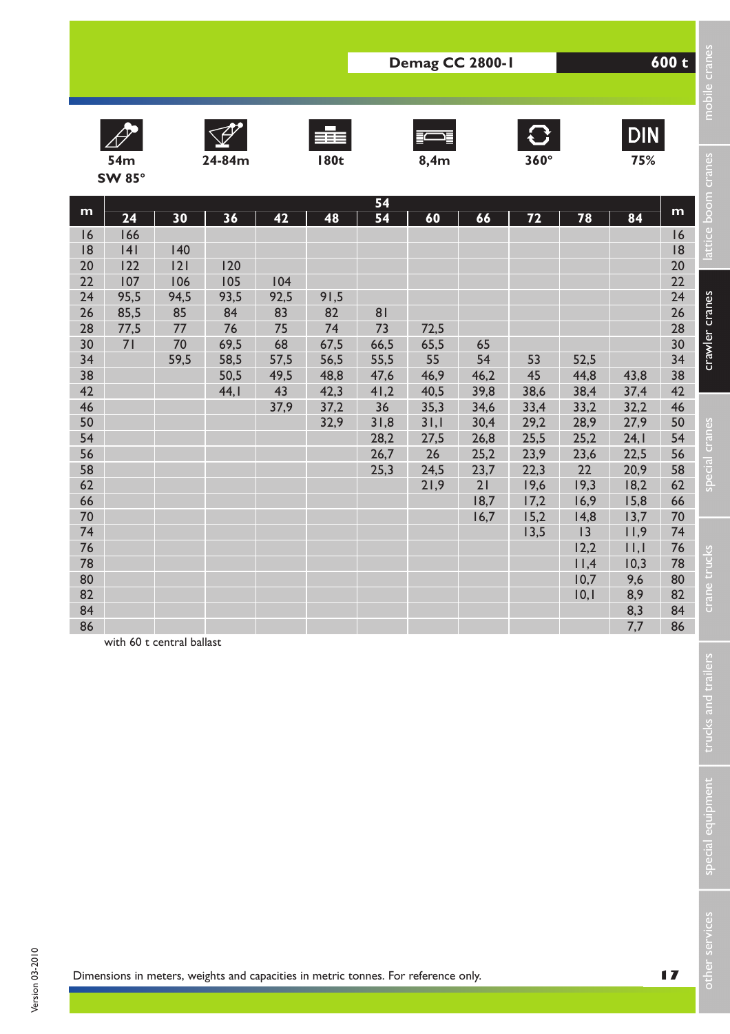











**DIN** 

|                                                                                                         |                                                              |                                                           |                                                                                    |                                                                   |                                                                        |                                                                                            | Demag CC 2800-1                                                                        |                                                                              |                                                                        |                                                                          |                                                                           | 600 t                                                                                                   |                                                        |
|---------------------------------------------------------------------------------------------------------|--------------------------------------------------------------|-----------------------------------------------------------|------------------------------------------------------------------------------------|-------------------------------------------------------------------|------------------------------------------------------------------------|--------------------------------------------------------------------------------------------|----------------------------------------------------------------------------------------|------------------------------------------------------------------------------|------------------------------------------------------------------------|--------------------------------------------------------------------------|---------------------------------------------------------------------------|---------------------------------------------------------------------------------------------------------|--------------------------------------------------------|
|                                                                                                         | 54m<br><b>SW 85°</b>                                         |                                                           | 24-84m                                                                             |                                                                   | 辈<br><b>180t</b>                                                       |                                                                                            | 8,4m                                                                                   |                                                                              | $\mathbf{C}$<br>$360^\circ$                                            |                                                                          | <b>DIN</b><br>75%                                                         |                                                                                                         | mobile cran                                            |
| m<br> 6<br> 8<br>20<br>22<br>24<br>26<br>28<br>30<br>34<br>38<br>42<br>46<br>50<br>54<br>56<br>58<br>62 | 24<br>166<br> 4 <br>122<br>107<br>95,5<br>85,5<br>77,5<br>71 | 30<br>140<br> 2 <br>106<br>94,5<br>85<br>77<br>70<br>59,5 | 36<br>120<br>105<br>93,5<br>84<br>76<br>69,5<br>58,5<br>50,5<br>44, I              | 42<br>104<br>92,5<br>83<br>75<br>68<br>57,5<br>49,5<br>43<br>37,9 | 48<br>91,5<br>82<br>74<br>67,5<br>56,5<br>48,8<br>42,3<br>37,2<br>32,9 | 54<br>54<br>81<br>73<br>66,5<br>55,5<br>47,6<br>41,2<br>36<br>31,8<br>28,2<br>26,7<br>25,3 | 60<br>72,5<br>65,5<br>55<br>46,9<br>40,5<br>35,3<br>31,1<br>27,5<br>26<br>24,5<br>21,9 | 66<br>65<br>54<br>46,2<br>39,8<br>34,6<br>30,4<br>26,8<br>25,2<br>23,7<br>21 | 72<br>53<br>45<br>38,6<br>33,4<br>29,2<br>25,5<br>23,9<br>22,3<br>19,6 | 78<br>52,5<br>44,8<br>38,4<br>33,2<br>28,9<br>25,2<br>23,6<br>22<br>19,3 | 84<br>43,8<br>37,4<br>32,2<br>27,9<br>24,1<br>22,5<br>20,9<br>18,2        | m<br>16<br> 8<br>20<br>22<br>24<br>26<br>28<br>30<br>34<br>38<br>42<br>46<br>50<br>54<br>56<br>58<br>62 | attice boom cranes<br>crawler cranes<br>special cranes |
| 66<br>70<br>74<br>76<br>78<br>80<br>82<br>84<br>86                                                      | with 60 t central ballast                                    |                                                           |                                                                                    |                                                                   |                                                                        |                                                                                            |                                                                                        | 18,7<br>16,7                                                                 | 17,2<br>15,2<br>13,5                                                   | 16,9<br>14,8<br>13<br>12,2<br>11,4<br>10,7<br>10,1                       | 15,8<br>13,7<br>11,9<br>$  \,   \,  $<br>10,3<br>9,6<br>8,9<br>8,3<br>7,7 | 66<br>70<br>74<br>76<br>78<br>80<br>82<br>84<br>86                                                      | ine trucks<br>Ğ<br>trucks and trailers                 |
|                                                                                                         |                                                              |                                                           | Dimensions in meters, weights and capacities in metric tonnes. For reference only. |                                                                   |                                                                        |                                                                                            |                                                                                        |                                                                              |                                                                        |                                                                          |                                                                           | $\blacksquare$                                                                                          | special equipment<br>ther services                     |

Version 03-2010

Version 03-2010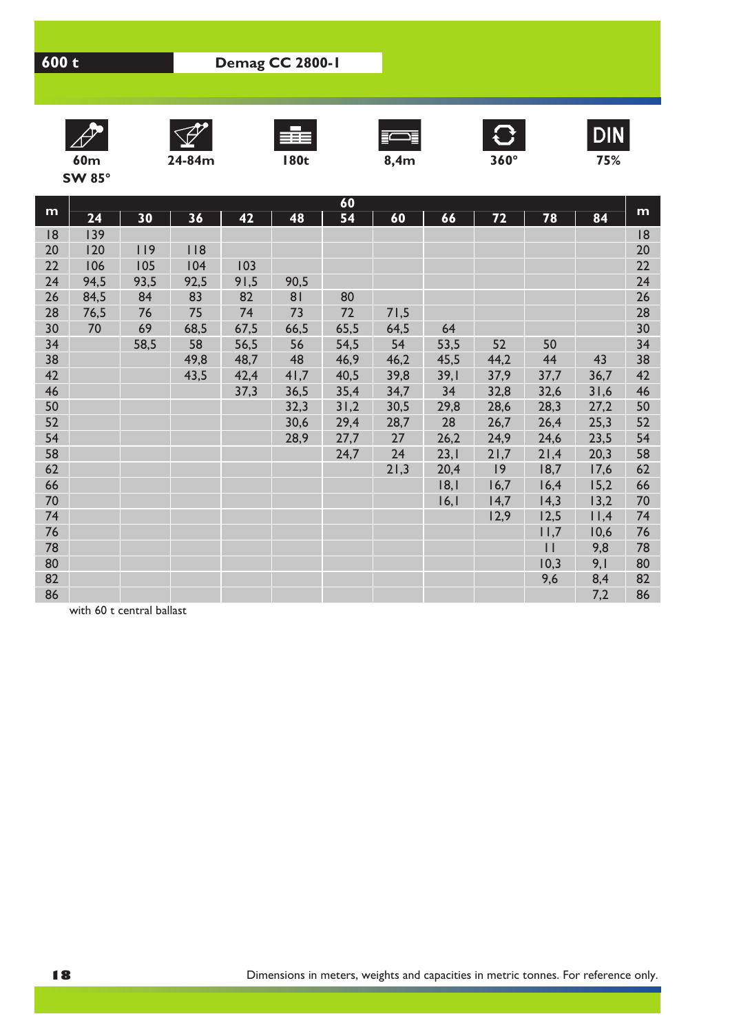













**DIN** 

**SW 85°**

|    | 60   |      |      |      |                |      |      |      |      |              |      |    |  |  |
|----|------|------|------|------|----------------|------|------|------|------|--------------|------|----|--|--|
| m  | 24   | 30   | 36   | 42   | 48             | 54   | 60   | 66   | 72   | 78           | 84   | m  |  |  |
| 8  | 139  |      |      |      |                |      |      |      |      |              |      | 18 |  |  |
| 20 | 120  | 119  | 118  |      |                |      |      |      |      |              |      | 20 |  |  |
| 22 | 106  | 105  | 104  | 103  |                |      |      |      |      |              |      | 22 |  |  |
| 24 | 94,5 | 93,5 | 92,5 | 91,5 | 90,5           |      |      |      |      |              |      | 24 |  |  |
| 26 | 84,5 | 84   | 83   | 82   | 8 <sub>1</sub> | 80   |      |      |      |              |      | 26 |  |  |
| 28 | 76,5 | 76   | 75   | 74   | 73             | 72   | 71,5 |      |      |              |      | 28 |  |  |
| 30 | 70   | 69   | 68,5 | 67,5 | 66,5           | 65,5 | 64,5 | 64   |      |              |      | 30 |  |  |
| 34 |      | 58,5 | 58   | 56,5 | 56             | 54,5 | 54   | 53,5 | 52   | 50           |      | 34 |  |  |
| 38 |      |      | 49,8 | 48,7 | 48             | 46,9 | 46,2 | 45,5 | 44,2 | 44           | 43   | 38 |  |  |
| 42 |      |      | 43,5 | 42,4 | 41,7           | 40,5 | 39,8 | 39,1 | 37,9 | 37,7         | 36,7 | 42 |  |  |
| 46 |      |      |      | 37,3 | 36,5           | 35,4 | 34,7 | 34   | 32,8 | 32,6         | 31,6 | 46 |  |  |
| 50 |      |      |      |      | 32,3           | 31,2 | 30,5 | 29,8 | 28,6 | 28,3         | 27,2 | 50 |  |  |
| 52 |      |      |      |      | 30,6           | 29,4 | 28,7 | 28   | 26,7 | 26,4         | 25,3 | 52 |  |  |
| 54 |      |      |      |      | 28,9           | 27,7 | 27   | 26,2 | 24,9 | 24,6         | 23,5 | 54 |  |  |
| 58 |      |      |      |      |                | 24,7 | 24   | 23,1 | 21,7 | 21,4         | 20,3 | 58 |  |  |
| 62 |      |      |      |      |                |      | 21,3 | 20,4 | 9    | 18,7         | 17,6 | 62 |  |  |
| 66 |      |      |      |      |                |      |      | 18,1 | 16,7 | 16,4         | 15,2 | 66 |  |  |
| 70 |      |      |      |      |                |      |      | 16,1 | 14,7 | 14,3         | 13,2 | 70 |  |  |
| 74 |      |      |      |      |                |      |      |      | 12,9 | 12,5         | 11,4 | 74 |  |  |
| 76 |      |      |      |      |                |      |      |      |      | 11,7         | 10,6 | 76 |  |  |
| 78 |      |      |      |      |                |      |      |      |      | $\mathbf{1}$ | 9,8  | 78 |  |  |
| 80 |      |      |      |      |                |      |      |      |      | 10,3         | 9,1  | 80 |  |  |
| 82 |      |      |      |      |                |      |      |      |      | 9,6          | 8,4  | 82 |  |  |
| 86 |      |      |      |      |                |      |      |      |      |              | 7,2  | 86 |  |  |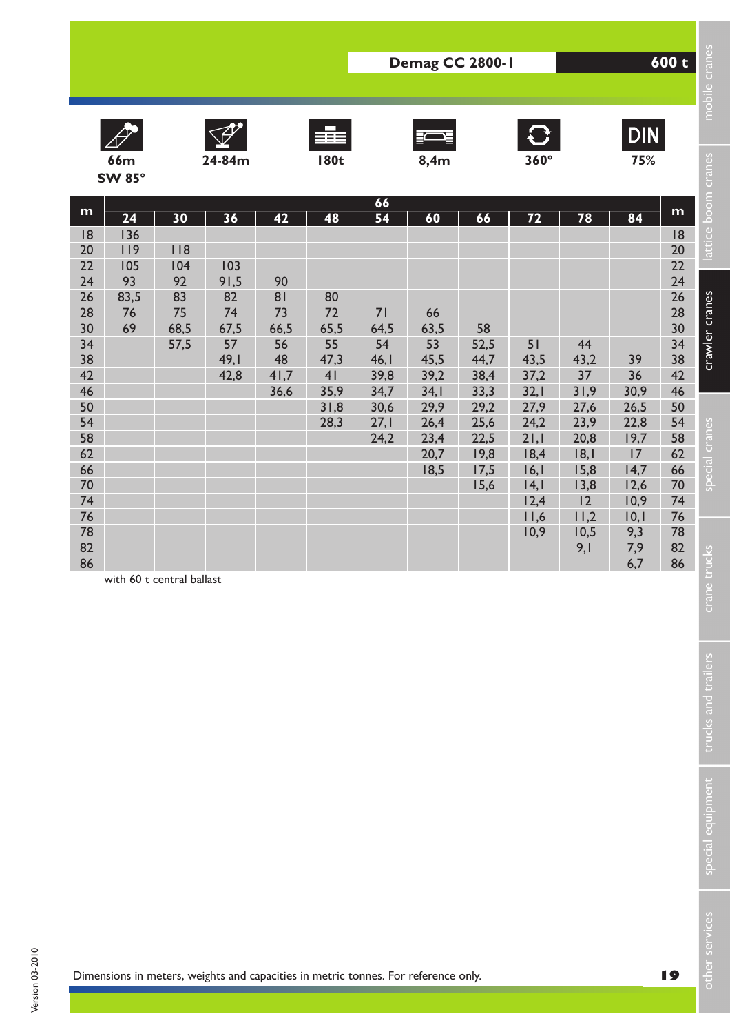











**DIN** 

|                                                                                                                                 |                                                   |                                                    |                                                                                    |                                                          |                                                                                |                                                                              | Demag CC 2800-1                                                                        |                                                                                          |                                                                                                          |                                                                                                      |                                                                                             | 600 t                                                                                                                           |                                                          |
|---------------------------------------------------------------------------------------------------------------------------------|---------------------------------------------------|----------------------------------------------------|------------------------------------------------------------------------------------|----------------------------------------------------------|--------------------------------------------------------------------------------|------------------------------------------------------------------------------|----------------------------------------------------------------------------------------|------------------------------------------------------------------------------------------|----------------------------------------------------------------------------------------------------------|------------------------------------------------------------------------------------------------------|---------------------------------------------------------------------------------------------|---------------------------------------------------------------------------------------------------------------------------------|----------------------------------------------------------|
|                                                                                                                                 | <b>66m</b>                                        |                                                    | 24-84m                                                                             |                                                          | 王王<br><b>180t</b>                                                              |                                                                              | 8,4m                                                                                   |                                                                                          | $\mathbf{C}$<br>$360^\circ$                                                                              |                                                                                                      | <b>DIN</b><br>75%                                                                           |                                                                                                                                 | mobile cran                                              |
|                                                                                                                                 | <b>SW 85°</b>                                     |                                                    |                                                                                    |                                                          |                                                                                |                                                                              |                                                                                        |                                                                                          |                                                                                                          |                                                                                                      |                                                                                             |                                                                                                                                 |                                                          |
| m<br> 8<br>20<br>22<br>24<br>26<br>28<br>30<br>34<br>38<br>42<br>46<br>50<br>54<br>58<br>62<br>66<br>70<br>74<br>76<br>78<br>82 | 24<br>136<br>119<br>105<br>93<br>83,5<br>76<br>69 | 30<br>118<br>104<br>92<br>83<br>75<br>68,5<br>57,5 | 36<br>103<br>91,5<br>82<br>74<br>67,5<br>57<br>49,1<br>42,8                        | 42<br>90<br>81<br>73<br>66,5<br>56<br>48<br>41,7<br>36,6 | 48<br>80<br>72<br>65,5<br>55<br>47,3<br>4 <sub>l</sub><br>35,9<br>31,8<br>28,3 | 66<br>54<br>71<br>64,5<br>54<br>46,1<br>39,8<br>34,7<br>30,6<br>27,1<br>24,2 | 60<br>66<br>63,5<br>53<br>45,5<br>39,2<br>34,1<br>29,9<br>26,4<br>23,4<br>20,7<br>18,5 | 66<br>58<br>52,5<br>44,7<br>38,4<br>33,3<br>29,2<br>25,6<br>22,5<br>19,8<br>17,5<br>15,6 | 72<br>51<br>43,5<br>37,2<br>32,1<br>27,9<br>24,2<br>21,1<br>18,4<br>16,1<br> 4, <br>12,4<br>11,6<br>10,9 | 78<br>44<br>43,2<br>37<br>31,9<br>27,6<br>23,9<br>20,8<br> 8, <br>15,8<br>13,8<br>12<br>11,2<br>10,5 | 84<br>39<br>36<br>30,9<br>26,5<br>22,8<br>19,7<br>17<br>14,7<br>12,6<br>10,9<br>10,1<br>9,3 | m<br> 8<br>20<br>22<br>24<br>26<br>28<br>30<br>34<br>38<br>42<br>46<br>50<br>54<br>58<br>62<br>66<br>70<br>74<br>76<br>78<br>82 | attice boom cranes<br>crawler cranes<br>special cranes   |
| 86                                                                                                                              | with 60 t central ballast                         |                                                    |                                                                                    |                                                          |                                                                                |                                                                              |                                                                                        |                                                                                          |                                                                                                          | 9,1                                                                                                  | 7,9<br>6,7                                                                                  | 86                                                                                                                              | crane trucks<br>trucks and trailers<br>special equipment |
|                                                                                                                                 |                                                   |                                                    | Dimensions in meters, weights and capacities in metric tonnes. For reference only. |                                                          |                                                                                |                                                                              |                                                                                        |                                                                                          |                                                                                                          |                                                                                                      |                                                                                             | 19                                                                                                                              | other services                                           |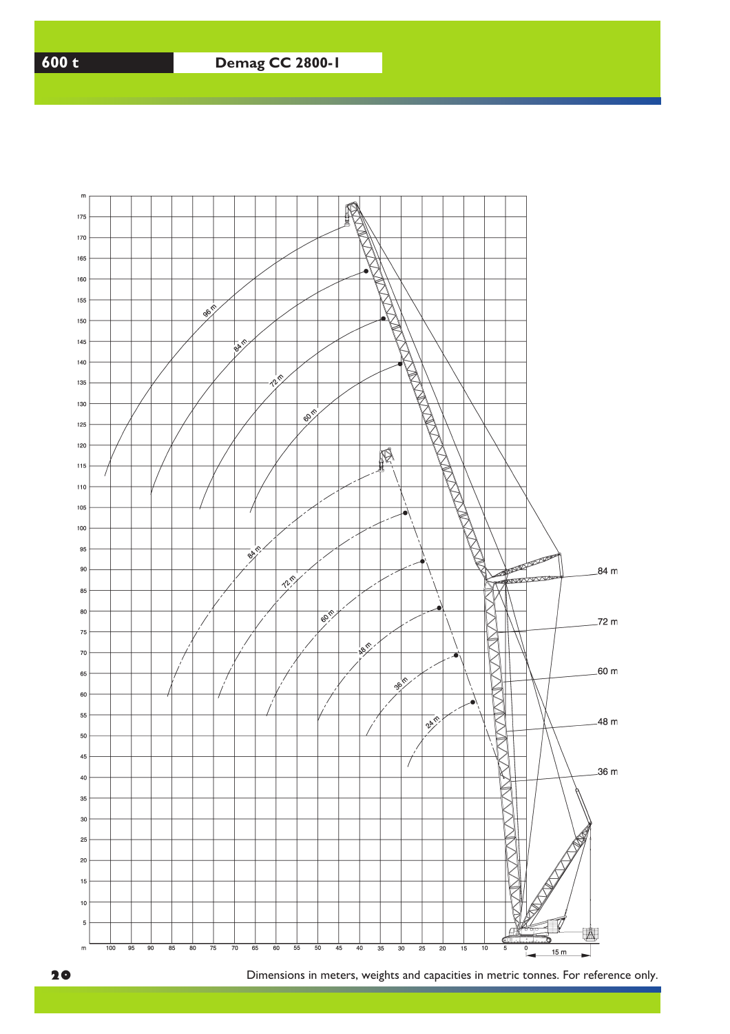

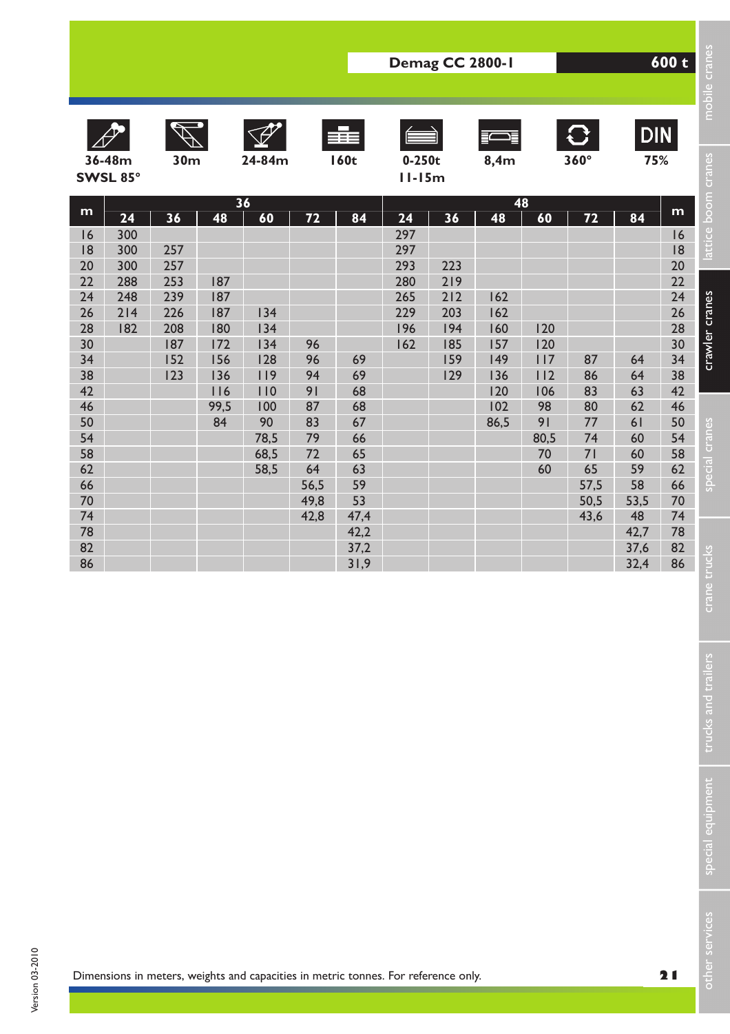|                                                                                                                                       |                                                     | Demag CC 2800-1                                                   |                                                                          |                                                                                                      |                                                                                  |                                                                                                |                                                            |                                                            |                                                                    |                                                                             |                                                                                         |                                                                                                | 600 t                                                                                                                                 | mobile cranes                                                                                    |
|---------------------------------------------------------------------------------------------------------------------------------------|-----------------------------------------------------|-------------------------------------------------------------------|--------------------------------------------------------------------------|------------------------------------------------------------------------------------------------------|----------------------------------------------------------------------------------|------------------------------------------------------------------------------------------------|------------------------------------------------------------|------------------------------------------------------------|--------------------------------------------------------------------|-----------------------------------------------------------------------------|-----------------------------------------------------------------------------------------|------------------------------------------------------------------------------------------------|---------------------------------------------------------------------------------------------------------------------------------------|--------------------------------------------------------------------------------------------------|
|                                                                                                                                       | 36-48m<br>SWSL 85°                                  | 30m                                                               |                                                                          | 24-84m                                                                                               |                                                                                  | ≣≣≣<br><b>160t</b>                                                                             | $0-250t$<br>$II-I5m$                                       |                                                            | 8,4m                                                               |                                                                             | $ \mathbf{C} $<br>$360^\circ$                                                           | <b>DIN</b><br>75%                                                                              |                                                                                                                                       |                                                                                                  |
| m<br>16<br> 8<br>20<br>22<br>24<br>26<br>28<br>30<br>34<br>38<br>42<br>46<br>50<br>54<br>58<br>62<br>66<br>70<br>74<br>78<br>82<br>86 | 24<br>300<br>300<br>300<br>288<br>248<br>214<br>182 | 36<br>257<br>257<br>253<br>239<br>226<br>208<br>187<br>152<br>123 | 48<br>187<br>187<br>187<br>180<br>172<br>156<br>136<br>116<br>99,5<br>84 | $\overline{36}$<br>60<br>134<br>134<br>134<br>128<br>119<br>110<br>100<br>90<br>78,5<br>68,5<br>58,5 | 72<br>96<br>96<br>94<br>91<br>87<br>83<br>79<br>72<br>64<br>56,5<br>49,8<br>42,8 | 84<br>69<br>69<br>68<br>68<br>67<br>66<br>65<br>63<br>59<br>53<br>47,4<br>42,2<br>37,2<br>31,9 | 24<br>297<br>297<br>293<br>280<br>265<br>229<br>196<br>162 | 36<br>223<br>219<br>212<br>203<br>194<br>185<br>159<br>129 | 48<br>162<br>162<br>160<br>157<br>149<br>136<br>120<br>102<br>86,5 | 48<br>60<br>120<br>120<br>117<br>112<br>106<br>98<br>91<br>80,5<br>70<br>60 | $\overline{72}$<br>87<br>86<br>83<br>80<br>77<br>74<br>71<br>65<br>57,5<br>50,5<br>43,6 | 84<br>64<br>64<br>63<br>62<br>61<br>60<br>60<br>59<br>58<br>53,5<br>48<br>42,7<br>37,6<br>32,4 | m<br>16<br> 8<br>20<br>22<br>24<br>26<br>28<br>30<br>34<br>38<br>42<br>46<br>50<br>54<br>58<br>62<br>66<br>70<br>74<br>78<br>82<br>86 | attice boom cranes<br>crawler cranes<br>special cranes<br>trucks<br>crane<br>trucks and trailers |
|                                                                                                                                       |                                                     |                                                                   |                                                                          |                                                                                                      |                                                                                  |                                                                                                |                                                            |                                                            |                                                                    |                                                                             |                                                                                         |                                                                                                |                                                                                                                                       | special equipment                                                                                |
|                                                                                                                                       |                                                     |                                                                   |                                                                          | Dimensions in meters, weights and capacities in metric tonnes. For reference only.                   |                                                                                  |                                                                                                |                                                            |                                                            |                                                                    |                                                                             |                                                                                         |                                                                                                | 21                                                                                                                                    | er services<br>듭                                                                                 |

Dimensions in meters, weights and capacities in metric tonnes. For reference only.

special equipment trucks and trailers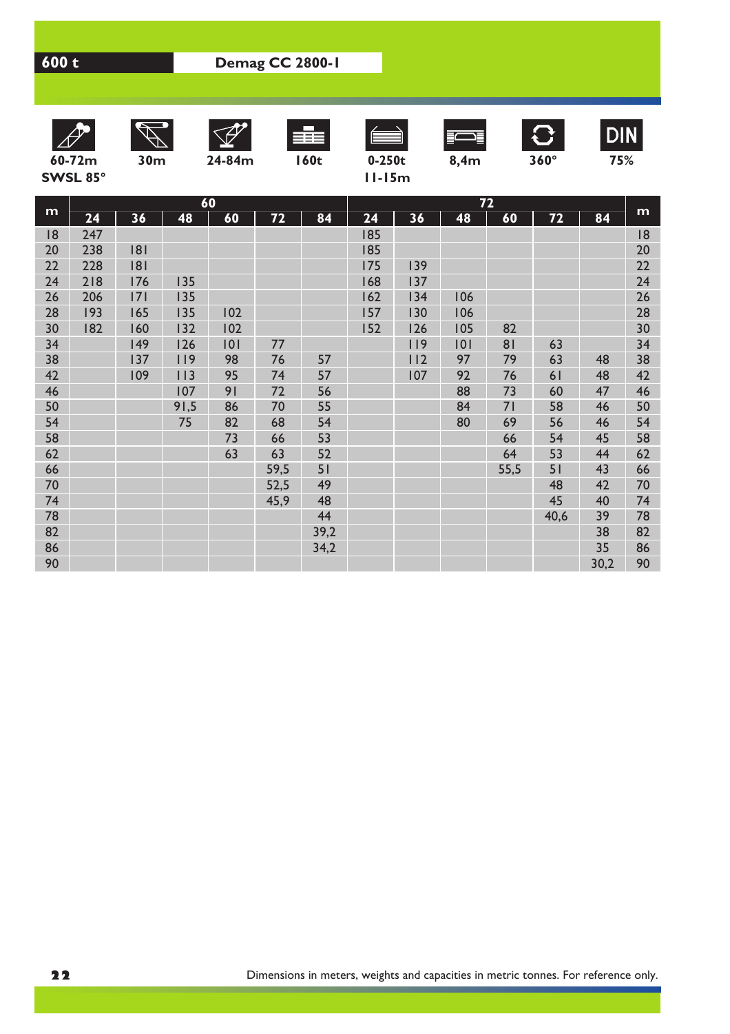









**60-72m 30m 24-84m 160t 0-250t 8,4m 360° 75%**



**DIN** 

**SWSL 85° 11-15m**

| ı |  |  | ٠<br>ı | J |
|---|--|--|--------|---|
|   |  |  |        |   |
|   |  |  |        |   |

|    |     |     | 60   |     |      |      |     |     |     | 72             |      |      |    |
|----|-----|-----|------|-----|------|------|-----|-----|-----|----------------|------|------|----|
| m  | 24  | 36  | 48   | 60  | 72   | 84   | 24  | 36  | 48  | 60             | 72   | 84   | m  |
| 8  | 247 |     |      |     |      |      | 185 |     |     |                |      |      | 18 |
| 20 | 238 | 181 |      |     |      |      | 185 |     |     |                |      |      | 20 |
| 22 | 228 | 181 |      |     |      |      | 175 | 139 |     |                |      |      | 22 |
| 24 | 218 | 176 | 135  |     |      |      | 168 | 137 |     |                |      |      | 24 |
| 26 | 206 | 7   | 135  |     |      |      | 162 | 134 | 106 |                |      |      | 26 |
| 28 | 193 | 165 | 135  | 102 |      |      | 157 | 130 | 106 |                |      |      | 28 |
| 30 | 182 | 160 | 132  | 102 |      |      | 152 | 126 | 105 | 82             |      |      | 30 |
| 34 |     | 149 | 126  | 101 | 77   |      |     | 119 | 0   | 8 <sub>1</sub> | 63   |      | 34 |
| 38 |     | 137 | 119  | 98  | 76   | 57   |     | 112 | 97  | 79             | 63   | 48   | 38 |
| 42 |     | 109 | 113  | 95  | 74   | 57   |     | 107 | 92  | 76             | 61   | 48   | 42 |
| 46 |     |     | 107  | 91  | 72   | 56   |     |     | 88  | 73             | 60   | 47   | 46 |
| 50 |     |     | 91,5 | 86  | 70   | 55   |     |     | 84  | 71             | 58   | 46   | 50 |
| 54 |     |     | 75   | 82  | 68   | 54   |     |     | 80  | 69             | 56   | 46   | 54 |
| 58 |     |     |      | 73  | 66   | 53   |     |     |     | 66             | 54   | 45   | 58 |
| 62 |     |     |      | 63  | 63   | 52   |     |     |     | 64             | 53   | 44   | 62 |
| 66 |     |     |      |     | 59,5 | 51   |     |     |     | 55,5           | 51   | 43   | 66 |
| 70 |     |     |      |     | 52,5 | 49   |     |     |     |                | 48   | 42   | 70 |
| 74 |     |     |      |     | 45,9 | 48   |     |     |     |                | 45   | 40   | 74 |
| 78 |     |     |      |     |      | 44   |     |     |     |                | 40,6 | 39   | 78 |
| 82 |     |     |      |     |      | 39,2 |     |     |     |                |      | 38   | 82 |
| 86 |     |     |      |     |      | 34,2 |     |     |     |                |      | 35   | 86 |
| 90 |     |     |      |     |      |      |     |     |     |                |      | 30,2 | 90 |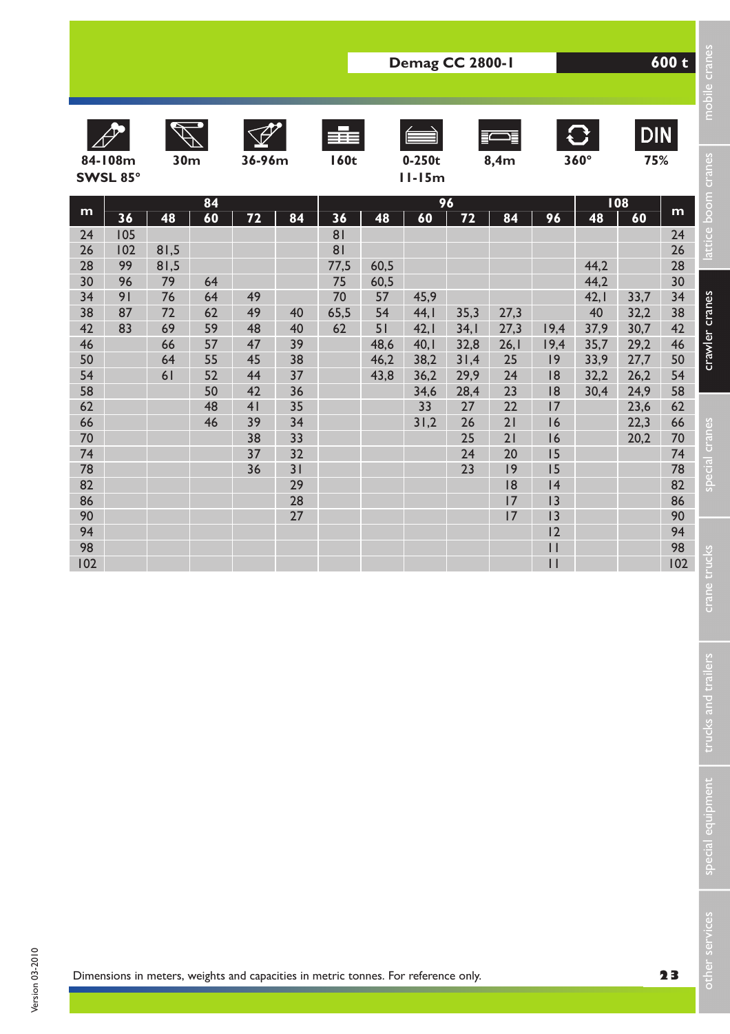|                                                                                                                                        |                                                |                                                              |                                                                      |                                                                            |                                                                                        |                                                                                    |                                                              | Demag CC 2800-1                                                                |                                                                                  |                                                                                              |                                                                                                                             | 600 t                                                                    | mobile cranes                                                                             |                                                                                                                                        |                                                                                                                                      |
|----------------------------------------------------------------------------------------------------------------------------------------|------------------------------------------------|--------------------------------------------------------------|----------------------------------------------------------------------|----------------------------------------------------------------------------|----------------------------------------------------------------------------------------|------------------------------------------------------------------------------------|--------------------------------------------------------------|--------------------------------------------------------------------------------|----------------------------------------------------------------------------------|----------------------------------------------------------------------------------------------|-----------------------------------------------------------------------------------------------------------------------------|--------------------------------------------------------------------------|-------------------------------------------------------------------------------------------|----------------------------------------------------------------------------------------------------------------------------------------|--------------------------------------------------------------------------------------------------------------------------------------|
|                                                                                                                                        | 84-108m<br>SWSL 85°                            | 30 <sub>m</sub>                                              |                                                                      | 36-96m                                                                     |                                                                                        | ≡≡<br><b>160t</b>                                                                  |                                                              | $0-250t$<br>$11-15m$                                                           |                                                                                  | 8,4m                                                                                         |                                                                                                                             | $\mathbf{C}$<br>$360^\circ$                                              | <b>DIN</b><br>75%                                                                         |                                                                                                                                        |                                                                                                                                      |
| m<br>24<br>26<br>28<br>30<br>34<br>38<br>42<br>46<br>50<br>54<br>58<br>62<br>66<br>70<br>74<br>78<br>82<br>86<br>90<br>94<br>98<br>102 | 36<br>105<br>102<br>99<br>96<br>91<br>87<br>83 | 48<br>81,5<br>81,5<br>79<br>76<br>72<br>69<br>66<br>64<br>61 | 84<br>60<br>64<br>64<br>62<br>59<br>57<br>55<br>52<br>50<br>48<br>46 | 72<br>49<br>49<br>48<br>47<br>45<br>44<br>42<br>41<br>39<br>38<br>37<br>36 | 84<br>40<br>40<br>39<br>38<br>37<br>36<br>35<br>34<br>33<br>32<br>31<br>29<br>28<br>27 | 36<br>81<br>81<br>77,5<br>75<br>70<br>65,5<br>62                                   | 48<br>60,5<br>60,5<br>57<br>54<br>51<br>48,6<br>46,2<br>43,8 | 96<br>60<br>45,9<br>44,1<br>42,1<br>40,1<br>38,2<br>36,2<br>34,6<br>33<br>31,2 | 72<br>35,3<br>34,1<br>32,8<br>31,4<br>29,9<br>28,4<br>27<br>26<br>25<br>24<br>23 | 84<br>27,3<br>27,3<br>26,1<br>25<br>24<br>23<br>22<br>21<br>21<br>20<br> 9<br> 8<br>17<br> 7 | 96<br>19,4<br>19,4<br> 9<br> 8<br> 8<br>17<br>16<br>16<br>15<br>15<br> 4<br>13<br> 3<br>12<br>$\vert \vert$<br>$\mathbf{I}$ | 48<br>44,2<br>44,2<br>42,1<br>40<br>37,9<br>35,7<br>33,9<br>32,2<br>30,4 | 108<br>60<br>33,7<br>32,2<br>30,7<br>29,2<br>27,7<br>26,2<br>24,9<br>23,6<br>22,3<br>20,2 | m<br>24<br>26<br>28<br>30<br>34<br>38<br>42<br>46<br>50<br>54<br>58<br>62<br>66<br>70<br>74<br>78<br>82<br>86<br>90<br>94<br>98<br>102 | attice boom cranes<br>crawler cranes<br>special cranes<br>trucks<br>crane<br>trucks and trailers<br>special equipment<br>er services |
|                                                                                                                                        |                                                |                                                              |                                                                      |                                                                            |                                                                                        | Dimensions in meters, weights and capacities in metric tonnes. For reference only. |                                                              |                                                                                |                                                                                  |                                                                                              |                                                                                                                             |                                                                          |                                                                                           | 23                                                                                                                                     | n<br>B                                                                                                                               |

special equipment trucks and trailers